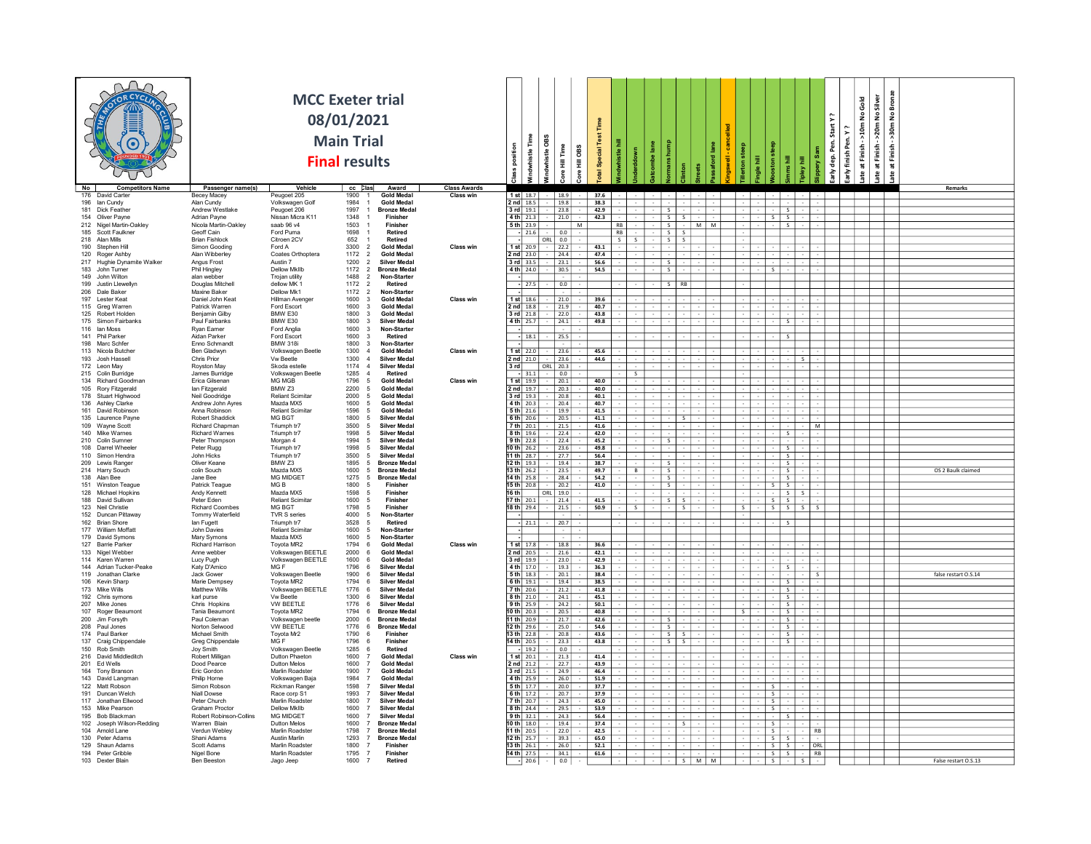|                                                     |                                           | <b>MCC Exeter trial</b>                 | 08/01/2021<br><b>Main Trial</b><br><b>Final results</b> |                                                          |                                         | position     | g<br>€<br>histle                  | Time<br>÷          | Special Test<br><b>GBS</b><br>ł |           |  |                                 |       |  |                                |                         | Start Y<br>Pen.<br>dep.<br>츤 | 2<br>ទ្ធិ<br>finish<br>$\frac{1}{6}$ | Gold<br>£<br>50 <sub>m</sub><br>ate at Finish | Bronz<br>Silver<br>>20m No<br>å<br>>30m<br>at Finish-<br>Finish<br>ate at<br>æ |                      |  |
|-----------------------------------------------------|-------------------------------------------|-----------------------------------------|---------------------------------------------------------|----------------------------------------------------------|-----------------------------------------|--------------|-----------------------------------|--------------------|---------------------------------|-----------|--|---------------------------------|-------|--|--------------------------------|-------------------------|------------------------------|--------------------------------------|-----------------------------------------------|--------------------------------------------------------------------------------|----------------------|--|
| No  <br><b>Competitors Name</b><br>176 David Carter | Passenger name(s)<br>Becey Macey          | Vehicle<br>Peugoet 205                  | $cc$ $\vert$ $\vert$ $\vert$ $\vert$ $\vert$<br>1900    | Award<br><b>Gold Meda</b>                                | <b>Class Awards</b><br><b>Class win</b> |              | $1$ st $18.7$ $ 18.9$             |                    | 37.6                            |           |  |                                 |       |  |                                |                         |                              |                                      |                                               |                                                                                | <b>Remarks</b>       |  |
| 196 Ian Cundy                                       | Alan Cundy                                | Volkswagen Golf                         | 1984                                                    | <b>Gold Medal</b>                                        |                                         |              | $2nd$ 18.5                        | 19.8               | 38.3                            |           |  |                                 |       |  |                                |                         |                              |                                      |                                               |                                                                                |                      |  |
| 181 Dick Feather<br>154 Oliver Payne                | Andrew Westlake<br>Adrian Payne           | Peugoet 206<br>Nissan Micra K11         | 1997<br>1348                                            | <b>Bronze Medal</b><br>Finisher                          |                                         | $3$ rd 19.1  | $4th$ 21.3                        | 23.8<br>21.0       | 42.9<br>42.3                    |           |  | S.<br>$s$ s                     |       |  | $S \mid S$                     |                         |                              |                                      |                                               |                                                                                |                      |  |
| 212 Nigel Martin-Oakley                             | Nicola Martin-Oakley                      | saab 96 v4                              | 1503                                                    | Finisher                                                 |                                         |              | 5 th $23.9$                       |                    | M                               | <b>RR</b> |  | S                               | M   M |  |                                | <b>S</b>                |                              |                                      |                                               |                                                                                |                      |  |
| 185 Scott Faulkner<br>218 Alan Mills                | Geoff Cain<br><b>Brian Fishlock</b>       | Ford Puma<br>Citroen 2CV                | 1698<br>652                                             | Retired<br>Retired                                       |                                         |              | $-21.6$<br>ORL                    | 0.0<br>0.0         |                                 | RB<br>s l |  | $S$ $S$<br>$S_S$                |       |  |                                |                         |                              |                                      |                                               |                                                                                |                      |  |
| 190 Stephen Hill                                    | Simon Gooding                             | Ford A                                  | 3300<br>1172                                            | <b>Gold Medal</b>                                        | Class win                               |              | $1$ st $20.9$                     | 22.2               | 43.1                            |           |  |                                 |       |  |                                |                         |                              |                                      |                                               |                                                                                |                      |  |
| 120 Roger Ashby<br>217 Hughie Dynamite Walker       | Alan Wibberlev<br>Angus Frost             | Coates Orthoptera<br>Austin 7           | 1200                                                    | <b>Gold Medal</b><br>Silver Medal<br>-2                  |                                         |              | $2nd$ 23.0<br>3 rd 33.5           | 124.4<br>23.1      | 47.4<br>56.6                    |           |  | S                               |       |  |                                |                         |                              |                                      |                                               |                                                                                |                      |  |
| 183 John Turner<br>149 John Wilton                  | Phil Hingley                              | Dellow MkIIb                            | 1172<br>1488                                            | <b>Bronze Medal</b><br>Non-Starter                       |                                         |              | 4 th $24.0$                       | 30.5               | 54.5                            |           |  | S                               |       |  |                                |                         |                              |                                      |                                               |                                                                                |                      |  |
| 199 Justin Llewellyn                                | alan webber<br>Douglas Mitchell           | Trojan utility<br>dellow MK 1           | 1172                                                    | Retired<br>- 2                                           |                                         |              | $-127.5$                          | 0.0                |                                 |           |  | S RB                            |       |  |                                |                         |                              |                                      |                                               |                                                                                |                      |  |
| 206 Dale Baker<br>197 Lester Keat                   | <b>Maxine Baker</b><br>Daniel John Keat   | Dellow Mk1<br>Hillman Avenge            | 1172<br>1600                                            | Non-Starter<br>$\overline{2}$<br><b>Gold Medal</b>       | <b>Class win</b>                        |              | $1$ st $18.6$                     | 21.0               | 39.6                            |           |  |                                 |       |  |                                |                         |                              |                                      |                                               |                                                                                |                      |  |
| 115 Greg Warren                                     | Patrick Warren                            | Ford Escort                             | 1600                                                    | <b>Gold Medal</b>                                        |                                         |              | $2 \text{ nd}$ 18.8               | 21.9               | 40.7                            |           |  |                                 |       |  |                                |                         |                              |                                      |                                               |                                                                                |                      |  |
| 125 Robert Holden<br>175 Simon Fairbanks            | Benjamin Gilby<br>Paul Fairbanks          | BMW E30<br>BMW F30                      | 1800<br>1800                                            | <b>Gold Medal</b><br>- 3<br><b>Silver Medal</b><br>-3    |                                         | $3rd$ 21.8   |                                   | 22.0<br>24.1       | 43.8<br>49.8                    |           |  |                                 |       |  |                                |                         |                              |                                      |                                               |                                                                                |                      |  |
| 116 Ian Moss                                        | <b>Ryan Famer</b>                         | Ford Anglia                             | 1600                                                    | Non-Starter                                              |                                         |              | 4 th $25.7$                       |                    |                                 |           |  |                                 |       |  |                                |                         |                              |                                      |                                               |                                                                                |                      |  |
| 141 Phil Parker<br>198 Marc Schfer                  | Aidan Parker<br>Enno Schmand              | Ford Escort<br><b>BMW 318i</b>          | 1600<br>1800                                            | Retired<br>Non-Starte                                    |                                         |              | $- 18.1$                          | 25.5               |                                 |           |  |                                 |       |  |                                |                         |                              |                                      |                                               |                                                                                |                      |  |
| 113 Nicola Butcher                                  | Ben Gladwyn                               | Volkswagen Beetle                       | 1300                                                    | <b>Gold Medal</b>                                        | <b>Class win</b>                        |              | $1$ st $22.0$                     | 23.6               | 45.6                            |           |  |                                 |       |  |                                |                         |                              |                                      |                                               |                                                                                |                      |  |
| 193 Josh Hassell<br>172 Leon May                    | Chris Prior<br>Royston May                | <b>Vw Reetle</b><br>Skoda estelle       | 1300<br>1174                                            | <b>Silver Medal</b><br><b>Silver Medal</b>               |                                         | 3rd          | $2nd$ 21.0                        | 23.6<br>$ORL$ 20.3 | 44.6                            |           |  |                                 |       |  |                                |                         |                              |                                      |                                               |                                                                                |                      |  |
| 215 Colin Burridge                                  | James Burridge                            | Volkswagen Beetle                       | 1285                                                    | Retired                                                  |                                         |              | $-31.1$ $-$                       | 0.0                |                                 |           |  |                                 |       |  |                                |                         |                              |                                      |                                               |                                                                                |                      |  |
| 134 Richard Goodmar<br>105 Rory Fitzgerald          | Erica Gilsenan<br>lan Fitzgerald          | MG MGB<br>BMW Z3                        | 1796<br>2200                                            | <b>Gold Medal</b><br><b>Gold Medal</b>                   | <b>Class win</b>                        |              | 1 st $19.9$<br>$2$ nd $19.7$      | 20.1<br>$-$ 20.3   | 40.0<br>40.0                    |           |  |                                 |       |  |                                |                         |                              |                                      |                                               |                                                                                |                      |  |
| 178 Stuart Highwood                                 | Neil Goodridge                            | <b>Reliant Scimitar</b>                 | 2000                                                    | <b>Gold Medal</b>                                        |                                         |              | $3rd$ 19.3                        | 20.8               | 40.1                            |           |  |                                 |       |  |                                |                         |                              |                                      |                                               |                                                                                |                      |  |
| 136 Ashley Clarke<br>161 David Robinson             | Andrew John Ayres<br>Anna Robinson        | Mazda MX5<br><b>Reliant Scimitar</b>    | 1600<br>1596                                            | <b>Gold Medal</b><br><b>Gold Medal</b>                   |                                         |              | $4th$ 20.3<br>$5th$ 21.6          | 20.4<br>19.9       | 40.7<br>41.5                    |           |  |                                 |       |  |                                |                         |                              |                                      |                                               |                                                                                |                      |  |
| 135 Laurence Payne                                  | Robert Shaddick                           | MG BGT                                  | 1800                                                    | <b>Silver Medal</b>                                      |                                         |              | 6th $20.6$                        | 20.5               | 41.1                            |           |  |                                 |       |  |                                |                         |                              |                                      |                                               |                                                                                |                      |  |
| 109 Wavne Scott<br>140 Mike Warnes                  | Richard Chapman<br><b>Richard Warnes</b>  | Triumph tr7<br>Triumph tr7              | 3500<br>1998                                            | <b>Silver Medal</b><br>Silver Medal                      |                                         |              | 7 th 20.1<br>8th 19.6             | 121.5<br>22.4      | 41.6<br>42.0                    |           |  |                                 |       |  |                                | $\overline{\mathsf{s}}$ | M                            |                                      |                                               |                                                                                |                      |  |
| 210 Colin Sumner                                    | Peter Thompson                            | Morgan 4                                | 1994                                                    | <b>Silver Medal</b>                                      |                                         |              | $9 th$ 22.8                       | 22.4               | 45.2                            |           |  |                                 |       |  |                                |                         |                              |                                      |                                               |                                                                                |                      |  |
| 108 Darrel Wheele<br>110 Simon Hendra               | Peter Rugg<br>John Hicks                  | Triumph tr7<br>Triumph tr7              | 1998<br>3500                                            | <b>Silver Medal</b><br><b>Silver Medal</b><br>-5         |                                         |              | 10 th $26.2$<br>1 th $28.7$       | 23.6<br>27.7       | 49.8<br>56.4                    |           |  |                                 |       |  | l S                            | $\overline{\mathbf{s}}$ |                              |                                      |                                               |                                                                                |                      |  |
| 209 Lewis Ranger                                    | Oliver Keane                              | <b>BMW 73</b>                           | 1895                                                    | <b>Bronze Meda</b><br>-5                                 |                                         |              | 12 th 193                         | 19.4               | 38.7                            |           |  | - s - l                         |       |  |                                | $\sim$                  |                              |                                      |                                               |                                                                                |                      |  |
| 214 Harry Souch<br>138 Alan Bee                     | colin Souch<br>Jane Bee                   | Mazda MX5<br><b>MG MIDGET</b>           | 1600<br>1275                                            | <b>Bronze Meda</b><br>-5<br><b>Bronze Meda</b>           |                                         |              | 13 th $26.2$<br>$14 th$ 25.8      | 23.5<br>28.4       | 49.7<br>54.2                    |           |  | S                               |       |  | IS.                            | s                       |                              |                                      |                                               |                                                                                | OS 2 Baulk claimed   |  |
| 151 Winston Teague                                  | Patrick Teague                            | MG <sub>B</sub>                         | 1800                                                    | Finisher                                                 |                                         |              | $15 th$ 20.8                      | $-$ 20.2           | 41.0                            |           |  | S                               |       |  | $S \mid S \mid$                |                         |                              |                                      |                                               |                                                                                |                      |  |
| 128 Michael Hopkins<br>188 David Sullivan           | Andy Kennett<br>Peter Eden                | Mazda MX5<br><b>Reliant Scimital</b>    | 1598<br>1600                                            | Finisher<br>$\sqrt{5}$<br>Finisher<br>- 5                |                                         | 16 th l      | $ $ ORL<br>$17 th$ 20.1           | 19.0<br>21.4       | 41.5                            |           |  |                                 |       |  | s <br>$S \cup S$               | - S                     |                              |                                      |                                               |                                                                                |                      |  |
| 123 Neil Christie                                   | <b>Richard Coombes</b>                    | MG BGT                                  | 1798                                                    | Finisher                                                 |                                         |              | 18 th $29.4$                      | 21.5               | 50.9                            |           |  | $-1$ s                          |       |  |                                | $s \mid s \mid s$       |                              |                                      |                                               |                                                                                |                      |  |
| 152 Duncan Pittaway<br>162 Brian Shore              | Tommy Waterfield<br>lan Fugett            | TVR S series<br>Triumph tr7             | 4000<br>3528                                            | Non-Starte<br>Retired                                    |                                         |              | $-21.1$                           | 20.7               |                                 |           |  |                                 |       |  |                                |                         |                              |                                      |                                               |                                                                                |                      |  |
| 177 William Moffatt                                 | John Davies                               | <b>Reliant Scimitar</b>                 | 1600                                                    | Non-Starter<br>- 5                                       |                                         |              |                                   |                    |                                 |           |  |                                 |       |  |                                |                         |                              |                                      |                                               |                                                                                |                      |  |
| 179 David Symons<br>127 Barrie Parker               | Mary Symons<br>Richard Harrison           | Mazda MX5<br>Toyota MR2                 | 1600<br>1794                                            | Non-Starter<br><b>Gold Medal</b>                         | <b>Class wir</b>                        |              | $1$ st $17.8$                     | 18.8               | 36.6                            |           |  |                                 |       |  |                                |                         |                              |                                      |                                               |                                                                                |                      |  |
| 133 Nigel Webber                                    | Anne webber                               | Volkswagen BEETLE                       | 2000                                                    | <b>Gold Medal</b>                                        |                                         |              | 2nd   20.5                        | 21.6               | 42.1                            |           |  |                                 |       |  |                                |                         |                              |                                      |                                               |                                                                                |                      |  |
| 114 Karen Warren<br>144 Adrian Tucker-Peake         | Lucy Pugh<br>Katy D'Amico                 | Volkswagen BEETLE<br>MG F               | 1600<br>1796                                            | <b>Gold Medal</b><br>-6<br>Silver Medal<br>-6            |                                         | 4 th   17.0  | $3$ rd 19.9                       | 23.0<br>19.3       | 42.9<br>36.3                    |           |  |                                 |       |  |                                | S.                      |                              |                                      |                                               |                                                                                |                      |  |
| 119 Jonathan Clarke                                 | Jack Gower                                | Volkswagen Beetle                       | 1900                                                    | <b>Silver Medal</b>                                      |                                         |              | $5th$ 18.3                        | 20.1               | 38.4                            |           |  |                                 |       |  |                                |                         |                              |                                      |                                               |                                                                                | false restart O.S.14 |  |
| 106 Kevin Sharp<br>173 Mike Wills                   | Marie Dempsey<br>Matthew Wills            | Toyota MR2<br>Volkswagen BEETLE         | 1794<br>1776                                            | <b>Silver Medal</b><br>- 6<br><b>Silver Medal</b><br>- 6 |                                         |              | 6 th $19.1$<br>$7$ th $20.6$      | 19.4<br>21.2       | 38.5<br>41.8                    |           |  |                                 |       |  | <b>S</b>                       | S.                      |                              |                                      |                                               |                                                                                |                      |  |
| 192 Chris symons                                    | karl purse<br>Chris Hopkins               | Vw Beetle<br><b>W REFTI F</b>           | 1300<br>1776                                            | <b>Silver Medal</b><br>-6<br>Silver Medal                |                                         |              | $8th$ 21.0<br>$9th$ 25.9          | 24.1               | 45.1<br>50.1                    |           |  |                                 |       |  | l S                            |                         |                              |                                      |                                               |                                                                                |                      |  |
| 207 Mike Jones<br>107 Roger Beaumont                | Tania Beaumont                            | Toyota MR2                              | 1794                                                    | <b>Bronze Medal</b>                                      |                                         |              | $10 th$ 20.3                      | 24.2<br>20.5       | 40.8                            |           |  |                                 |       |  |                                | s                       |                              |                                      |                                               |                                                                                |                      |  |
| 200 Jim Forsyth<br>208 Paul Jones                   | Paul Coleman<br>Norton Selwood            | Volkswagen beetle<br>VW BEETLE          | 2000<br>1776                                            | <b>Bronze Medal</b><br>-6<br><b>Bronze Meda</b><br>- 6   |                                         |              | 11 th $20.9$<br>$12 th$ 29.6      | 21.7<br>25.0       | 42.6<br>54.6                    |           |  | $\overline{\phantom{a}}$<br>s I |       |  |                                | l s<br>l S              |                              |                                      |                                               |                                                                                |                      |  |
| 174 Paul Barker                                     | Michael Smith                             | Toyota Mr2                              | 1790                                                    | Finisher<br>-6                                           |                                         |              | $13$ th $22.8$                    | $- 20.8$           | 43.6                            |           |  | $S \mid S$                      |       |  |                                | $\sim$                  |                              |                                      |                                               |                                                                                |                      |  |
| 137 Craig Chippendale<br>150 Rob Smith              | Greg Chippendale<br>Jov Smith             | MG F<br>Volkswagen Beetle               | 1796<br>1285                                            | Finisher<br>- 6<br>Retired                               |                                         |              | 14 th $20.5$<br>-  19.2           | 23.3<br>0.0        | 43.8                            |           |  | $S$ $S$                         |       |  |                                | S                       |                              |                                      |                                               |                                                                                |                      |  |
| 216 David Middleditch                               | Robert Milligan                           | Dutton Phaeton                          | 1600                                                    | <b>Gold Medal</b>                                        | <b>Class win</b>                        |              | $1$ st $20.1$                     | 21.3               | 41.4                            |           |  |                                 |       |  |                                |                         |                              |                                      |                                               |                                                                                |                      |  |
| 201 Fd Wells<br>164 Tony Branson                    | Dood Pearce<br>Eric Gordon                | <b>Dutton Melos</b><br>Marlin Roadster  | 1600<br>1900                                            | <b>Gold Medal</b><br><b>Gold Medal</b>                   |                                         |              | 2 nd $21.2$<br>$3$ rd 21.5 - 24.9 | 22.7               | 43.9<br>46.4                    |           |  |                                 |       |  |                                |                         |                              |                                      |                                               |                                                                                |                      |  |
| 143 David Langman                                   | Philip Horne                              | Volkswagen Baja                         | 1984                                                    | <b>Gold Medal</b>                                        |                                         |              | $4th$ 25.9                        | 26.0               | 51.9                            |           |  |                                 |       |  |                                |                         |                              |                                      |                                               |                                                                                |                      |  |
| 122 Matt Robson<br>191 Duncan Welch                 | Simon Robson<br>Niall Dowse               | Rickman Ranger<br>Race corp S1          | 1598<br>1993                                            | <b>Silver Medal</b><br><b>Silver Medal</b>               |                                         |              | $5 th$ 17.7<br>$6th$ 17.2         | 20.0<br>20.7       | 37.7<br>37.9                    |           |  |                                 |       |  | -s l                           |                         |                              |                                      |                                               |                                                                                |                      |  |
| 117 Jonathan Fllwood                                | Peter Church                              | Marlin Roadster                         | 1800                                                    | <b>Silver Medal</b>                                      |                                         |              | 7 th 20.7                         | 24.3               | 45.0                            |           |  |                                 |       |  | s l                            |                         |                              |                                      |                                               |                                                                                |                      |  |
| 153 Mike Pearson<br>195 Bob Blackman                | Graham Proctor<br>Robert Robinson-Collins | Dellow MkIlb<br><b>MG MIDGET</b>        | 1600<br>1600                                            | <b>Silver Medal</b><br><b>Silver Medal</b>               |                                         |              | 8 th 24.4<br>$9th$ 32.1           | 29.5<br>24.3       | 53.9<br>56.4                    |           |  |                                 |       |  | l s                            |                         |                              |                                      |                                               |                                                                                |                      |  |
| 102 Joseph Wilson-Redding                           | Warren Blain                              | Dutton Melos                            | 1600                                                    | <b>Bronze Medal</b>                                      |                                         | 10 th $18.0$ |                                   | 19.4               | 37.4                            |           |  |                                 |       |  | s.                             |                         |                              |                                      |                                               |                                                                                |                      |  |
| 104 Arnold Lane<br>130 Peter Adams                  | Verdun Webley<br>Shani Adams              | Marlin Roadster<br><b>Austin Marlin</b> | 1798<br>1293                                            | <b>Bronze Meda</b><br><b>Bronze Meda</b><br>- 7          |                                         |              | 11 th 20.5<br>12 th 25.7          | 22.0 <br>39.3      | 42.5<br>65.0                    |           |  |                                 |       |  | s l                            |                         | <b>RB</b><br>$\sim$          |                                      |                                               |                                                                                |                      |  |
| 129 Shaun Adams                                     | Scott Adams                               | Marlin Roadste                          | 1800                                                    | Finisher<br>$\overline{7}$                               |                                         |              | 13 th $26.1$                      | 26.0               | 52.1                            |           |  |                                 |       |  | $S \mid S$<br>$S \mid S$       |                         | ORL                          |                                      |                                               |                                                                                |                      |  |
| 194 Peter Gribble<br>103 Dexter Blain               | Nigel Bone<br><b>Ben Beeston</b>          | Marlin Roadster<br>Jago Jeep            | 1795<br>1600 7                                          | Finisher<br>Retired                                      |                                         |              | 14 th $27.5$<br>$- 20.6  -  0.0 $ | 34.1               | 61.6                            |           |  | S I                             | M   M |  | $S \mid S \mid$<br>$S \mid -1$ | $S^{\dagger}$ .         | RB                           |                                      |                                               |                                                                                | False restart O.S.13 |  |
|                                                     |                                           |                                         |                                                         |                                                          |                                         |              |                                   |                    |                                 |           |  |                                 |       |  |                                |                         |                              |                                      |                                               |                                                                                |                      |  |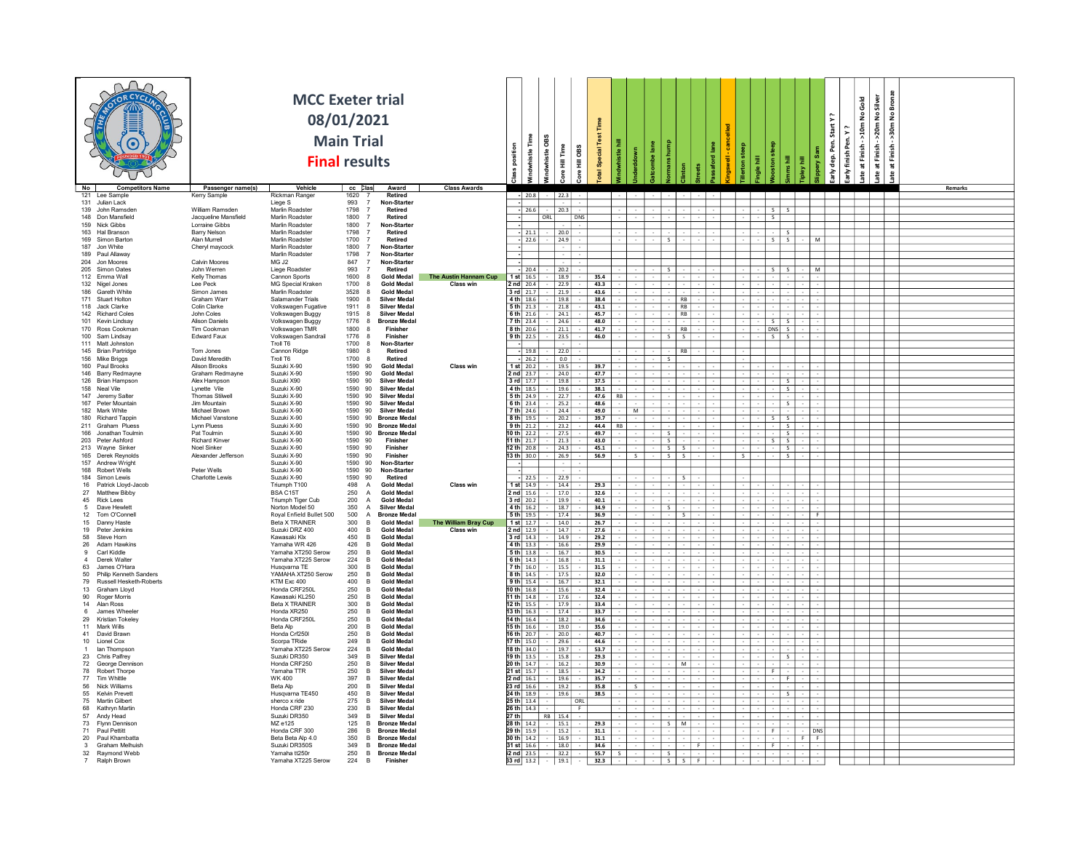|                                                                        |                                          | <b>MCC Exeter trial</b><br>08/01/2021<br><b>Final results</b> | <b>Main Trial</b>  |                                                                            |                       |                                                            | Time<br>whistle OBS<br>histle | Time<br><b>OBS</b><br>量<br>ł<br>š<br>ு | Time<br>Special Test | 퉆<br>e.   |   |                  |  |              | 景        |         | Start Y?<br>Per. | ζ,<br>finish Pen.<br>dep.<br>손 | Gold<br>>10m No<br>ate at Finish- | Bronze<br>Silver<br>$\frac{1}{2}$<br>$\overline{2}$<br>>20m<br>>30m<br>at Finish-<br>at Finish-<br>ate |  |
|------------------------------------------------------------------------|------------------------------------------|---------------------------------------------------------------|--------------------|----------------------------------------------------------------------------|-----------------------|------------------------------------------------------------|-------------------------------|----------------------------------------|----------------------|-----------|---|------------------|--|--------------|----------|---------|------------------|--------------------------------|-----------------------------------|--------------------------------------------------------------------------------------------------------|--|
| No<br><b>Competitors Name</b><br>121 Lee Sample                        | Passenger name(s)<br><b>Kerry Sample</b> | Vehicle<br>Rickman Ranger                                     | cc Clas<br>1620    | Award<br>Retired                                                           | <b>Class Awards</b>   |                                                            | $- 20.8$                      | $22.3$                                 |                      |           |   |                  |  |              |          |         |                  |                                |                                   | Remarks                                                                                                |  |
| 131 Julian Lack                                                        |                                          | Liege S                                                       | 993                | $\overline{7}$<br>Non-Starter                                              |                       |                                                            |                               |                                        |                      |           |   |                  |  |              |          |         |                  |                                |                                   |                                                                                                        |  |
| 139 John Ramsden                                                       | William Ramsden                          | Marlin Roadster                                               | 1798               | <b>Retired</b>                                                             |                       | $-26.6$                                                    |                               | 20.3                                   |                      |           |   |                  |  |              |          |         |                  |                                |                                   |                                                                                                        |  |
| 148 Don Mansfield<br>159 Nick Gibbs                                    | Jacqueline Mansfield<br>Lorraine Gibbs   | Marlin Roadster<br>Marlin Roadster                            | 1800<br>1800       | Retired<br>Non-Starter                                                     |                       | H.                                                         | ORL                           | DNS                                    |                      |           |   |                  |  | $\mathsf{s}$ |          |         |                  |                                |                                   |                                                                                                        |  |
| 163 Hal Branson                                                        | Barry Nelson                             | Marlin Roadster                                               | 1798               | Retired                                                                    |                       | $-121.1$                                                   |                               | 20.0                                   |                      |           |   |                  |  |              |          |         |                  |                                |                                   |                                                                                                        |  |
| 169 Simon Barton<br>187 Jon White                                      | Alan Murrell                             | Marlin Roadster<br>Marlin Roadster                            | 1700<br>1800       | Retired                                                                    |                       | $-22.6$                                                    |                               | $-24.9$                                |                      |           |   | S.               |  | - S          | S.       |         |                  |                                |                                   |                                                                                                        |  |
| 189 Paul Allaway                                                       | Cheryl maycock                           | Marlin Roadster                                               | 1798               | Non-Starter<br>Non-Starter                                                 |                       |                                                            |                               |                                        |                      |           |   |                  |  |              |          |         |                  |                                |                                   |                                                                                                        |  |
| 204 Jon Moores                                                         | Calvin Moores                            | MG J2                                                         | 847                | Non-Starter                                                                |                       |                                                            |                               |                                        |                      |           |   |                  |  |              |          |         |                  |                                |                                   |                                                                                                        |  |
| 205 Simon Oates<br>112 Emma Wall                                       | John Werren<br>Kelly Thomas              | Liege Roadster<br>Cannon Sports                               | 993<br>1600        | Retired<br><b>Gold Medal</b>                                               | The Austin Hannam Cup | $-120.4$<br>$1$ st $16.5$                                  |                               | 20.2<br>$-18.9$                        | 35.4                 |           |   |                  |  | - S          |          |         | м                |                                |                                   |                                                                                                        |  |
| 132 Nigel Jones                                                        | Lee Peck                                 | MG Special Kraken                                             | 1700               | <b>Gold Medal</b>                                                          | Class win             | $2 \text{ nd}$ 20.4                                        |                               | 22.9                                   | 43.3                 |           |   |                  |  |              |          |         |                  |                                |                                   |                                                                                                        |  |
| 186 Gareth White                                                       | Simon James                              | Marlin Roadster                                               | 3528               | <b>Gold Medal</b>                                                          |                       | $3$ rd $21.7$                                              |                               | $21.9$                                 | 43.6                 |           |   |                  |  |              |          |         |                  |                                |                                   |                                                                                                        |  |
| 171 Stuart Holton<br>118 Jack Clarke                                   | Graham Warr<br>Colin Clarke              | Salamander Trials<br>Volkswagen Fugative                      | 1900<br>1911       | <b>Silver Medal</b><br><b>Silver Medal</b>                                 |                       | 4 th $18.6$<br>$5th$ 21.3                                  |                               | 19.8<br>$\sqrt{21.8}$                  | 38.4<br>43.1         |           |   | RB<br><b>RB</b>  |  |              |          |         |                  |                                |                                   |                                                                                                        |  |
| 142 Richard Coles                                                      | John Coles                               | Volkswagen Buggy                                              | 1915               | <b>Silver Medal</b>                                                        |                       | $6th$ 21.6                                                 |                               | $-24.1$                                | 45.7                 |           |   | - IRB            |  |              |          |         |                  |                                |                                   |                                                                                                        |  |
| 101 Kevin Lindsav                                                      | <b>Alison Daniels</b>                    | Volkswagen Buggy                                              | 1776               | <b>Bronze Medal</b>                                                        |                       |                                                            | $7 th 23.4 -$                 | 24.6                                   | 48.0                 |           |   |                  |  | $\mathsf{s}$ |          |         |                  |                                |                                   |                                                                                                        |  |
| 170 Ross Cookman<br>100 Sam Lindsay                                    | Tim Cookman<br><b>Edward Faux</b>        | Volkswagen TMR<br>Volkswagen Sandrail                         | 1800<br>1776       | Finisher<br>Finishe                                                        |                       | $8 th$ 20.6<br>9 th 22.5                                   |                               | 21.1<br>$-$ 23.5                       | 41.7<br>46.0         |           |   | RB<br>$S \cup S$ |  |              | DNS<br>S |         |                  |                                |                                   |                                                                                                        |  |
| 111 Matt Johnston                                                      |                                          | Troll T6                                                      | 1700 8             | Non-Starter                                                                |                       |                                                            |                               |                                        |                      |           |   |                  |  |              |          |         |                  |                                |                                   |                                                                                                        |  |
| 145 Brian Partridge                                                    | Tom Jones                                | Cannon Ridge<br>Troll T6                                      | 1980 8             | Retired<br>Retired                                                         |                       | $-19.8$                                                    |                               | $-$ 22.0                               |                      |           |   | $-$ RR           |  |              |          |         |                  |                                |                                   |                                                                                                        |  |
| 156 Mike Briggs<br>160 Paul Brooks                                     | David Meredith<br>Alison Brooks          | Suzuki X-90                                                   | 1700 8<br>1590 90  | <b>Gold Medal</b>                                                          | Class win             | $-26.2$<br>$1$ st $20.2$                                   |                               | $-$ 0.0<br>19.5                        | 39.7                 |           |   | S                |  |              |          |         |                  |                                |                                   |                                                                                                        |  |
| 146 Barry Redmayne                                                     | Graham Redmayne                          | Suzuki X-90                                                   | 1590 90            | <b>Gold Medal</b>                                                          |                       | $2nd$ 23.7                                                 |                               | 24.0                                   | 47.7                 |           |   |                  |  |              |          |         |                  |                                |                                   |                                                                                                        |  |
| 126 Brian Hampson<br>158 Neal Vile                                     | Alex Hampson<br>Lynette Vile             | Suzuki X90<br>Suzuki X-90                                     | 1590 90<br>1590 90 | <b>Silver Medal</b><br><b>Silver Medal</b>                                 |                       | $3rd$ 17.7<br>4 th $18.5$                                  |                               | 19.8<br>$-$ 19.6                       | 37.5<br>38.1         |           |   |                  |  |              | -S.      |         |                  |                                |                                   |                                                                                                        |  |
| 147 Jeremy Salter                                                      | <b>Thomas Stilwell</b>                   | Suzuki X-90                                                   | 1590 90            | <b>Silver Medal</b>                                                        |                       | $5 th$ 24.9                                                |                               | 22.7                                   | 47.6                 | RB        |   |                  |  |              |          |         |                  |                                |                                   |                                                                                                        |  |
| 167 Peter Mountain<br>182 Mark White                                   | Jim Mountain                             | Suzuki X-90                                                   | 1590 90            | <b>Silver Medal</b>                                                        |                       | $6th$ 23.4                                                 |                               | $- 25.2$<br>$-24.4$                    | 48.6                 |           |   |                  |  |              |          |         |                  |                                |                                   |                                                                                                        |  |
| 180 Richard Tappin                                                     | Michael Brown<br>Michael Vanstone        | Suzuki X-90<br>Suzuki X-90                                    |                    | 1590 90 Silver Medal<br>1590 90 Bronze Meda                                |                       | $7 th$ 24.6<br>$8 th$ 19.5                                 |                               | 20.2                                   | 49.0<br>39.7         |           | M |                  |  |              |          |         |                  |                                |                                   |                                                                                                        |  |
| 211 Graham Pluess                                                      | <b>Lynn Pluess</b>                       | Suzuki X-90                                                   |                    | 1590 90 Bronze Meda                                                        |                       | 9 th $21.2$                                                |                               | $- 23.2$                               | 44.4                 | <b>RB</b> |   |                  |  |              | S I      |         |                  |                                |                                   |                                                                                                        |  |
| 166 Jonathan Toulmin                                                   | Pat Toulmin<br><b>Richard Kinver</b>     | Suzuki X-90                                                   | 1590 90            | 1590 90 Bronze Medal<br>Finisher                                           |                       | 10 th $22.2$<br>$11 th$ 21.7                               |                               | 27.5                                   | 49.7                 |           |   | s.               |  |              |          | S       |                  |                                |                                   |                                                                                                        |  |
| 203 Peter Ashford<br>213 Wayne Sinker                                  | Noel Sinker                              | Suzuki X-90<br>Suzuki X-90                                    | 1590 90            | Finisher                                                                   |                       | 12 th 20.8                                                 |                               | 21.3<br>$- 24.3$                       | 43.0<br>45.1         |           |   | $S_S$            |  | - S          | -S       | SI.     |                  |                                |                                   |                                                                                                        |  |
| 165 Derek Revnolds                                                     | Alexander Jefferson                      | Suzuki X-90                                                   | 1590 90            | Finisher                                                                   |                       | 13 th 30.0                                                 |                               | 26.9                                   | 56.9                 |           |   | $S \mid S$       |  |              | -S.      |         |                  |                                |                                   |                                                                                                        |  |
| 157 Andrew Wright<br>168 Robert Wells                                  | Peter Wells                              | Suzuki X-90<br>Suzuki X-90                                    | 1590 90<br>1590 90 | Non-Starter<br>Non-Starter                                                 |                       |                                                            |                               |                                        |                      |           |   |                  |  |              |          |         |                  |                                |                                   |                                                                                                        |  |
| 184 Simon Lewis                                                        | Charlotte Lewis                          | Suzuki X-90                                                   | 1590               | 90<br>Retired                                                              |                       | $-22.5$                                                    |                               | 22.9                                   |                      |           |   |                  |  |              |          |         |                  |                                |                                   |                                                                                                        |  |
| 16 Patrick Lloyd-Jacob                                                 |                                          | Triumph T100                                                  | 498                | <b>Gold Medal</b><br>$\overline{A}$                                        | Class win             | 1 st $14.9$                                                |                               | $-14.4$                                | 29.3                 |           |   |                  |  |              |          |         |                  |                                |                                   |                                                                                                        |  |
| 27 Matthew Bibby<br>45 Rick Lees                                       |                                          | BSA C15T<br>Triumph Tiger Cub                                 | 250<br>200         | $\overline{A}$<br><b>Gold Medal</b><br>$\overline{A}$<br><b>Gold Medal</b> |                       | $2$ nd $15.6$ $\vert$<br>$3$ rd $20.2$                     |                               | 17.0<br>19.9                           | 32.6<br>40.1         |           |   |                  |  |              |          |         |                  |                                |                                   |                                                                                                        |  |
| 5 Dave Hewlet                                                          |                                          | Norton Model 50                                               | 350                | $\overline{A}$<br><b>Silver Medal</b>                                      |                       | 4 th $16.2$                                                |                               | $- 18.7$                               | 34.9                 |           |   | S.               |  |              |          |         |                  |                                |                                   |                                                                                                        |  |
| 12 Tom O'Connell<br>15 Danny Haste                                     |                                          | Royal Enfield Bullet 500<br>Beta X TRAINER                    | 500<br>300         | <b>Bronze Medal</b><br><b>Gold Medal</b><br><b>B</b>                       | The William Bray Cup  | $5th$ 19.5<br>1 st $12.7$                                  |                               | 17.4<br>$-14.0$                        | 36.9<br>26.7         |           |   | - 5              |  |              |          |         | E.               |                                |                                   |                                                                                                        |  |
| 19 Peter Jenkins                                                       |                                          | Suzuki DRZ 400                                                | 400                | <b>Gold Medal</b><br>$\overline{R}$                                        | <b>Class win</b>      | 2 nd $ 12.9 $                                              |                               | 14.7                                   | 27.6                 |           |   |                  |  |              |          |         |                  |                                |                                   |                                                                                                        |  |
| 58 Steve Horn                                                          |                                          | Kawasaki Klx                                                  | 450                | <b>Gold Medal</b><br><b>R</b>                                              |                       | $3$ rd $14.3$                                              |                               | 14.9                                   | 29.2                 |           |   |                  |  |              |          |         |                  |                                |                                   |                                                                                                        |  |
| 26 Adam Hawkins<br>9<br>Carl Kiddle                                    |                                          | Yamaha WR 426<br>Yamaha XT250 Serow                           | 426<br>250         | <b>Gold Medal</b><br><b>Gold Medal</b>                                     |                       | $4th$ 13.3<br>$5th$ 13.8                                   |                               | 16.6<br>16.7                           | 29.9<br>30.5         |           |   |                  |  |              |          |         |                  |                                |                                   |                                                                                                        |  |
| 4 Derek Walter                                                         |                                          | Yamaha XT225 Serow                                            | 224                | <b>Gold Medal</b>                                                          |                       | 6th $14.3$                                                 |                               | $- 16.8$                               | 31.1                 |           |   |                  |  |              |          |         |                  |                                |                                   |                                                                                                        |  |
| 63 James O'Hara                                                        |                                          | Husqvarna TE                                                  | 300                | <b>Gold Medal</b>                                                          |                       | $7 th$ 16.0                                                |                               | 15.5                                   | 31.5                 |           |   |                  |  |              |          |         |                  |                                |                                   |                                                                                                        |  |
| 50 Philip Kenneth Sanders<br>79 Russell Hesketh-Roberts                |                                          | YAMAHA XT250 Serow<br>KTM Exc 400                             | 250<br>400         | <b>Gold Medal</b><br><b>Gold Medal</b>                                     |                       | 8 th 14.5<br>$9th$ 15.4                                    |                               | 17.5<br>$- 16.7$                       | 32.0<br>32.1         |           |   |                  |  |              |          |         |                  |                                |                                   |                                                                                                        |  |
| 13 Graham Lloyd                                                        |                                          | Honda CRF250L                                                 | 250                | <b>Gold Medal</b><br>-в                                                    |                       | 10 th $16.8$                                               |                               | 15.6                                   | 32.4                 |           |   |                  |  |              |          |         |                  |                                |                                   |                                                                                                        |  |
| 90 Roger Morris                                                        |                                          | Kawasaki KI 250<br><b>Beta X TRAINER</b>                      | 250                | <b>Gold Medal</b>                                                          |                       | 11 th   14.8                                               |                               | $- 17.6$                               | 32.4                 |           |   |                  |  |              |          |         |                  |                                |                                   |                                                                                                        |  |
| 14 Alan Ross<br>6 James Wheele                                         |                                          | Honda XR250                                                   | 300<br>250         | <b>Gold Medal</b><br><b>Gold Medal</b>                                     |                       | 12 th $15.5$<br>13 th $ 16.3 $                             |                               | 17.9<br>17.4                           | 33.4<br>33.7         |           |   |                  |  |              |          |         |                  |                                |                                   |                                                                                                        |  |
| 29 Kristian Tokeley                                                    |                                          | Honda CRF250L                                                 | 250                | <b>Gold Medal</b>                                                          |                       | 14 th $16.4$                                               |                               | $-18.2$                                | 34.6                 |           |   |                  |  |              |          |         |                  |                                |                                   |                                                                                                        |  |
| 11 Mark Wills<br>41 David Brawn                                        |                                          | Beta Alp<br>Honda Crf250I                                     | 200<br>250         | <b>Gold Medal</b><br><b>Gold Medal</b>                                     |                       | 15 th 16.6<br>$16 th$ 20.7                                 |                               | 19.0<br>$- 20.0$                       | 35.6<br>40.7         |           |   |                  |  |              |          |         |                  |                                |                                   |                                                                                                        |  |
| 10 Lionel Cox                                                          |                                          | Scorpa TRide                                                  | 249                | <b>Gold Medal</b><br><b>R</b>                                              |                       | $17th$ 15.0                                                |                               | 29.6                                   | 44.6                 |           |   |                  |  |              |          |         |                  |                                |                                   |                                                                                                        |  |
| 1<br>lan Thompson                                                      |                                          | Yamaha XT225 Serow                                            | 224                | <b>Gold Medal</b>                                                          |                       | $18 th$ 34.0                                               |                               | 19.7                                   | 53.7                 |           |   |                  |  |              |          |         |                  |                                |                                   |                                                                                                        |  |
| 23 Chris Palfrey<br>72 George Dennison                                 |                                          | Suzuki DR350<br>Honda CRE250                                  | 349<br>250         | <b>Silver Medal</b><br><b>R</b><br><b>Silver Medal</b>                     |                       | 19 th   13.5<br>20 th   14.7                               |                               | $-15.8$<br>16.2                        | 29.3<br>30.9         |           |   | M                |  |              | $\sim$   |         |                  |                                |                                   |                                                                                                        |  |
| 78 Robert Thorpe                                                       |                                          | Yamaha TTR                                                    | 250                | <b>Silver Medal</b><br><b>R</b>                                            |                       | $21$ st $15.7$                                             |                               | $- 18.5$                               | 34.2                 |           |   |                  |  |              |          |         |                  |                                |                                   |                                                                                                        |  |
| 77 Tim Whittle                                                         |                                          | WK 400                                                        | 397                | <b>Silver Medal</b><br>$\overline{B}$                                      |                       | $2$ nd $16.1$                                              |                               | 19.6                                   | 35.7                 |           |   |                  |  |              |          |         |                  |                                |                                   |                                                                                                        |  |
| 56 Nick Williams<br>55 Kelvin Prevett                                  |                                          | Beta Alp<br>Husqvarna TE450                                   | 200<br>450         | <b>Silver Medal</b><br><b>Silver Medal</b><br><b>B</b>                     |                       | 23 $rd$ 16.6<br>24 th 18.9                                 |                               | 19.2<br>$-19.6$                        | 35.8<br>38.5         |           |   |                  |  |              |          |         |                  |                                |                                   |                                                                                                        |  |
| 75 Martin Gilbert                                                      |                                          | sherco x ride                                                 | 275                | <b>Silver Medal</b><br>R                                                   |                       | 25 th 13.4                                                 |                               | ORL                                    |                      |           |   |                  |  |              |          |         |                  |                                |                                   |                                                                                                        |  |
| 68 Kathryn Martin                                                      |                                          | Honda CRF 230                                                 | 230                | <b>Silver Medal</b><br><b>R</b>                                            |                       | $26 th$ 14.3                                               |                               | - 6                                    |                      |           |   |                  |  |              |          |         |                  |                                |                                   |                                                                                                        |  |
| 57 Andy Head<br>73 Flynn Dennison                                      |                                          | Suzuki DR350<br>MZ e125                                       | 349<br>125         | <b>Silver Medal</b><br><b>Bronze Medal</b>                                 |                       | 27 th<br>28 th 14.2                                        | RB 15.4                       | 15.1                                   | 29.3                 |           |   | S M              |  |              |          |         |                  |                                |                                   |                                                                                                        |  |
| 71 Paul Pettitt                                                        |                                          | Honda CRE 300                                                 | 286                | <b>Bronze Meda</b><br><b>R</b>                                             |                       | 29 th 15.9                                                 |                               | $-$ 15.2                               | 31.1                 |           |   |                  |  | F            |          | $-$ DNS |                  |                                |                                   |                                                                                                        |  |
| 20 Paul Khambatta<br>$\overline{\mathbf{3}}$<br><b>Graham Melhuish</b> |                                          | Beta Beta Alp 4.0<br>Suzuki DR350S                            | 350<br>349         | <b>Bronze Meda</b><br>R<br><b>Bronze Medal</b><br><b>R</b>                 |                       | 30 th 14.2<br>31 st $16.6$                                 |                               | $-$ 16.9<br>18.0                       | 31.1<br>34.6         |           |   |                  |  |              |          | IFIF    |                  |                                |                                   |                                                                                                        |  |
| 32 Raymond Webb                                                        |                                          | Yamaha tt250r                                                 | 250                | <b>Bronze Meda</b><br>B                                                    |                       |                                                            | $32 \text{ nd}$ 23.5 - 32.2   |                                        | 55.7                 |           |   | S.               |  |              |          |         |                  |                                |                                   |                                                                                                        |  |
| 7 Ralph Brown                                                          |                                          | Yamaha XT225 Serow                                            | 224                | Finisher<br>B                                                              |                       | <b>33 rd</b> $\begin{bmatrix} 13.2 \\ -19.1 \end{bmatrix}$ |                               |                                        | 32.3                 |           |   | $S \mid S$       |  |              |          |         |                  |                                |                                   |                                                                                                        |  |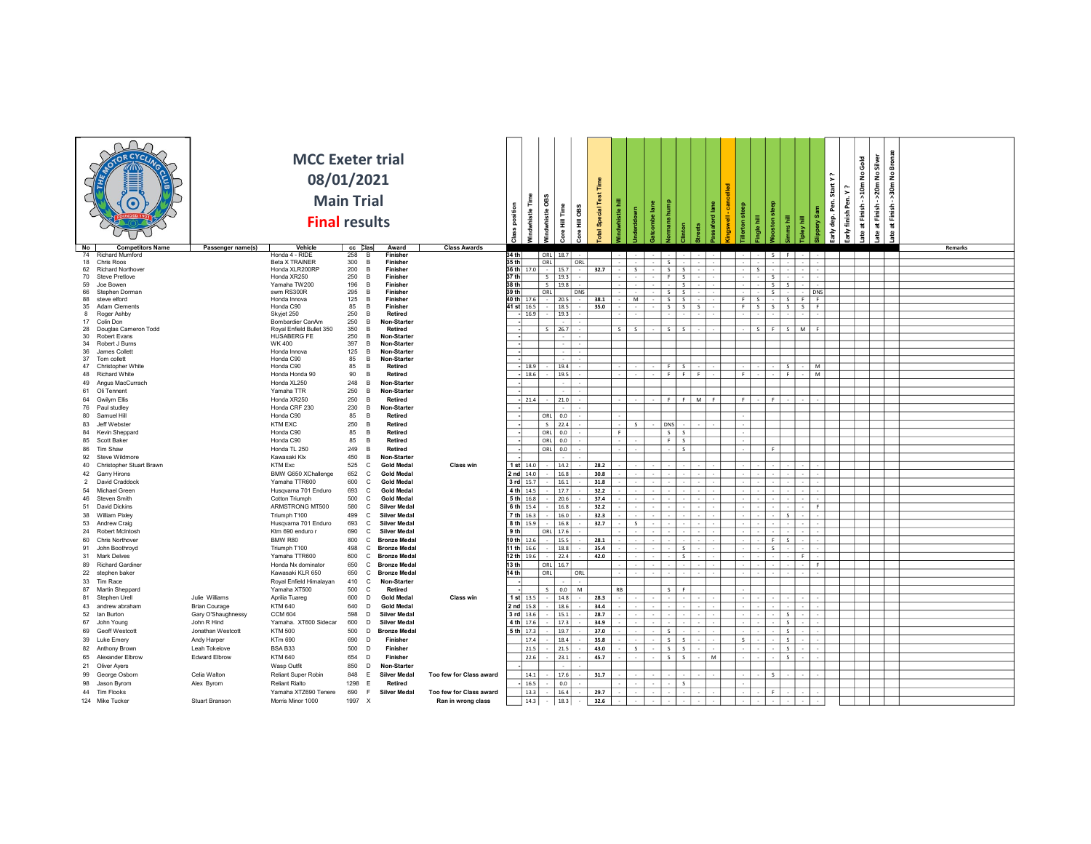|                                                     |                      |                                   | <b>MCC Exeter trial</b><br>08/01/2021<br><b>Main Trial</b><br><b>Final results</b> |                                                | position<br>€                  | 8<br>vhistle | OBS<br>i<br>Hill<br>H<br>Ě<br>χe | Special Test |            |              |                      |                   |     |   |           |                 |                 |                                              | Start Y<br>Pen.<br>dep.<br>즐 | Gold<br>$\frac{9}{2}$<br>520m<br>\$,<br>arly finish Pen.<br>at Finish | No Silver<br>>20m<br>at Finish | Bronze<br>$\frac{9}{2}$<br>50m<br>Finish<br>玉 |                |
|-----------------------------------------------------|----------------------|-----------------------------------|------------------------------------------------------------------------------------|------------------------------------------------|--------------------------------|--------------|----------------------------------|--------------|------------|--------------|----------------------|-------------------|-----|---|-----------|-----------------|-----------------|----------------------------------------------|------------------------------|-----------------------------------------------------------------------|--------------------------------|-----------------------------------------------|----------------|
| <b>Competitors Name</b><br>No<br>74 Richard Mumford | Passenger name(s)    | Vehicle<br>Honda 4 - RIDE         | cc <b>Clas</b><br>258 B                                                            | <b>Class Awards</b><br>Award<br>Finisher       | 34 th                          | ORL 18.7     |                                  |              |            |              |                      |                   |     |   |           |                 | S               |                                              |                              |                                                                       |                                |                                               | <b>Remarks</b> |
| 18 Chris Roos                                       |                      | Beta X TRAINER                    | 300 B                                                                              | Finisher                                       | 35 th                          | ORL          | ORL                              |              |            |              | S                    |                   |     |   |           |                 |                 |                                              |                              |                                                                       |                                |                                               |                |
| 62 Richard Northover                                |                      | Honda XLR200RP                    | 200<br>B                                                                           | Finisher                                       | 36 th $17.0$ $\cdot$           |              | 15.7<br>$\sim$                   | 32.7         |            | S            |                      | $S \mid S$        |     |   |           | S               |                 |                                              |                              |                                                                       |                                |                                               |                |
| 70 Steve Pretlove                                   |                      | Honda XR250                       | 250<br>B                                                                           | Finisher                                       | 37 th                          | $S$   19.3   |                                  |              |            |              |                      | F S               |     |   |           |                 | -S              |                                              |                              |                                                                       |                                |                                               |                |
| 59 Joe Bowen                                        |                      | Yamaha TW200                      | 196<br><b>R</b>                                                                    | Finisher                                       | 38 th                          | S            | 19.8                             |              |            |              |                      | $-1$ s            |     |   |           |                 | S S             |                                              |                              |                                                                       |                                |                                               |                |
| 66 Stephen Dorman                                   |                      | swm RS300R                        | 295 B                                                                              | Finisher                                       | 39 th $\overline{\phantom{a}}$ | ORL          | DNS                              |              |            |              |                      | S S               |     |   |           |                 | $S^{\dagger}$ . | DNS                                          |                              |                                                                       |                                |                                               |                |
| 88 steve elford<br>35 Adam Clements                 |                      | Honda Innova<br>Honda C90         | 125<br>$\overline{B}$<br>85<br>B                                                   | Finisher<br>Finisher                           | 40 th 17.6<br>41 st 16.5       |              | 20.5<br>18.5                     | 38.1<br>35.0 |            | M            |                      | S S<br>$S \cup S$ |     |   | - F<br>-F | - S<br><b>S</b> | $S \mid S$      | $\cdot$   S $\sqrt{F}$   F<br>- S - I<br>- F |                              |                                                                       |                                |                                               |                |
| 8 Roger Ashby                                       |                      | Skyjet 250                        | 250<br>B                                                                           | Retired                                        | $- 16.9$                       |              | 19.3                             |              |            |              |                      |                   |     |   |           |                 |                 |                                              |                              |                                                                       |                                |                                               |                |
| 17 Colin Don                                        |                      | Bombardier CanAm                  | 250<br>B                                                                           | Non-Starter                                    |                                |              |                                  |              |            |              |                      |                   |     |   |           |                 |                 |                                              |                              |                                                                       |                                |                                               |                |
| 28 Douglas Cameron Todd                             |                      | Royal Enfield Bullet 350          | 350<br>B                                                                           | Retired                                        |                                | S.           | 26.7                             |              | $S \mid S$ |              | $ \vert$ s $\vert$ s |                   |     |   |           | S               |                 | F S MF                                       |                              |                                                                       |                                |                                               |                |
| 30 Robert Evans<br>34 Robert J Burns                |                      | <b>HUSABERG FE</b><br>WK 400      | 250<br>B<br>397<br>$\overline{B}$                                                  | Non-Starter<br>Non-Starter                     |                                |              |                                  |              |            |              |                      |                   |     |   |           |                 |                 |                                              |                              |                                                                       |                                |                                               |                |
| 36 James Collett                                    |                      | Honda Innova                      | 125 B                                                                              | Non-Starter                                    |                                |              |                                  |              |            |              |                      |                   |     |   |           |                 |                 |                                              |                              |                                                                       |                                |                                               |                |
| 37 Tom collett                                      |                      | Honda C90                         | 85<br>$\overline{B}$                                                               | Non-Starter                                    |                                |              |                                  |              |            |              |                      |                   |     |   |           |                 |                 |                                              |                              |                                                                       |                                |                                               |                |
| 47 Christopher White                                |                      | Honda C90                         | 85<br>$\overline{B}$                                                               | Retired                                        | $-18.9$                        |              | 19.4                             |              |            |              |                      | $F$ S             |     |   |           |                 | S               | M                                            |                              |                                                                       |                                |                                               |                |
| 48 Richard White                                    |                      | Honda Honda 90                    | 90 B                                                                               | Retired                                        | -  18.6                        |              | 19.5                             |              |            |              |                      | $F \mid F$        |     |   | F         |                 | - Fil           | M                                            |                              |                                                                       |                                |                                               |                |
| 49 Angus MacCurrach                                 |                      | Honda XL250                       | 248 B                                                                              | Non-Starter                                    |                                |              |                                  |              |            |              |                      |                   |     |   |           |                 |                 |                                              |                              |                                                                       |                                |                                               |                |
| 61 Oli Tennent                                      |                      | Yamaha TTR                        | 250<br>$\overline{B}$                                                              | Non-Starter                                    |                                |              |                                  |              |            |              |                      |                   |     |   |           |                 |                 |                                              |                              |                                                                       |                                |                                               |                |
| 64 Gwilvm Ellis                                     |                      | Honda XR250                       | 250<br>$\overline{B}$                                                              | Retired                                        | $-21.4$                        |              | 21.0                             |              |            |              |                      | $F$ $F$           | M I |   | - F       |                 | F               |                                              |                              |                                                                       |                                |                                               |                |
| 76 Paul studiey<br>80 Samuel Hill                   |                      | Honda CRF 230<br>Honda C90        | 230 B<br>85<br>$\overline{B}$                                                      | Non-Starter<br>Retired                         |                                | ORL          | 0.0                              |              |            |              |                      |                   |     |   |           |                 |                 |                                              |                              |                                                                       |                                |                                               |                |
| 83 Jeff Webster                                     |                      | <b>KTM EXC</b>                    | 250 B                                                                              | Retired                                        |                                | $S$ 22.4     |                                  |              |            | S            | DNS                  |                   |     |   |           |                 |                 |                                              |                              |                                                                       |                                |                                               |                |
| 84 Kevin Sheppard                                   |                      | Honda C90                         | 85<br>$\overline{B}$                                                               | Retired                                        |                                | ORL          | 0.0                              |              | F          |              |                      | $S_S$             |     |   |           |                 |                 |                                              |                              |                                                                       |                                |                                               |                |
| 85 Scott Baker                                      |                      | Honda C90                         | 85<br>$\overline{B}$                                                               | Retired                                        |                                | $ $ ORL      | 0.0                              |              |            |              |                      | F S               |     |   |           |                 |                 |                                              |                              |                                                                       |                                |                                               |                |
| 86 Tim Shaw                                         |                      | Honda TL 250                      | 249<br><b>B</b>                                                                    | Retired                                        |                                | ORL          | 0.0                              |              |            |              |                      | S                 |     |   |           |                 |                 |                                              |                              |                                                                       |                                |                                               |                |
| 92 Steve Wildmore                                   |                      | Kawasaki Klx                      | 450<br>$\overline{B}$                                                              | Non-Starter                                    |                                |              |                                  |              |            |              |                      |                   |     |   |           |                 |                 |                                              |                              |                                                                       |                                |                                               |                |
| 40 Christopher Stuart Brawn                         |                      | KTM Exc                           | 525<br>$\mathbb{C}$                                                                | <b>Gold Medal</b><br>Class win                 | 1 st $14.0$                    |              | 14.2                             | 28.2         |            |              |                      |                   |     |   |           |                 |                 |                                              |                              |                                                                       |                                |                                               |                |
| 42 Garry Hirons                                     |                      | BMW G650 XChallenge               | 652<br>$\mathbf{C}$                                                                | <b>Gold Medal</b>                              | $2$ nd $14.0$                  |              | 16.8                             | 30.8         |            |              |                      |                   |     |   |           |                 |                 |                                              |                              |                                                                       |                                |                                               |                |
| 2 David Craddock                                    |                      | Yamaha TTR600                     | 600<br>$\mathbb{C}$                                                                | <b>Gold Medal</b>                              | 3 rd 15.7                      |              | 16.1                             | 31.8         |            |              |                      |                   |     |   |           |                 |                 |                                              |                              |                                                                       |                                |                                               |                |
| 54 Michael Green                                    |                      | Husqvarna 701 Enduro              | 693<br>- C                                                                         | <b>Gold Medal</b>                              | 4 th 14.5                      |              | 17.7                             | 32.2         |            |              |                      |                   |     |   |           |                 |                 |                                              |                              |                                                                       |                                |                                               |                |
| 46 Steven Smith<br>51 David Dickins                 |                      | Cotton Triumph<br>ARMSTRONG MT500 | 500<br>C<br>580<br>$\mathbf{C}$                                                    | <b>Gold Medal</b><br><b>Silver Medal</b>       | $5th$ 16.8<br>6th 15.4         |              | 20.6<br>16.8                     | 37.4<br>32.2 |            |              |                      |                   |     |   |           |                 |                 | F.                                           |                              |                                                                       |                                |                                               |                |
| 38 William Pixley                                   |                      | Triumph T100                      | 499<br>$\mathsf{C}$                                                                | <b>Silver Medal</b>                            | 7 th 16.3                      |              | 16.0                             | 32.3         |            |              |                      |                   |     |   |           |                 | $\sim$          |                                              |                              |                                                                       |                                |                                               |                |
| 53 Andrew Craig                                     |                      | Husqvarna 701 Enduro              | 693<br>$\mathbf{C}$                                                                | <b>Silver Medal</b>                            | 8 th 15.9                      |              | 16.8                             | 32.7         |            |              |                      |                   |     |   |           |                 |                 |                                              |                              |                                                                       |                                |                                               |                |
| 24 Robert McIntosh                                  |                      | Ktm 690 enduro r                  | 690<br>$\mathbf{C}$                                                                | <b>Silver Medal</b>                            | 9th                            | ORL 17.6     |                                  |              |            |              |                      |                   |     |   |           |                 |                 |                                              |                              |                                                                       |                                |                                               |                |
| 60 Chris Northover                                  |                      | BMW R80                           | 800 C                                                                              | <b>Bronze Meda</b>                             | 10 th $12.6$                   |              | 15.5                             | 28.1         |            |              |                      |                   |     |   |           |                 | $F \mid S$      |                                              |                              |                                                                       |                                |                                               |                |
| 91 John Boothroyd                                   |                      | Triumph T100                      | 498<br>C.                                                                          | <b>Bronze Medal</b>                            | $11 th$ 16.6                   |              | 18.8                             | 35.4         |            |              |                      | S.                |     |   |           | s.              |                 |                                              |                              |                                                                       |                                |                                               |                |
| 31 Mark Delves                                      |                      | Yamaha TTR600                     | 600<br>$\mathbf{c}$                                                                | <b>Bronze Medal</b>                            | $12 th$ 19.6                   |              | $-$ 22.4                         | 42.0         |            |              |                      | S                 |     |   |           |                 |                 | F                                            |                              |                                                                       |                                |                                               |                |
| 89 Richard Gardiner                                 |                      | Honda Nx dominator                | 650<br>$\mathbb{C}$                                                                | <b>Bronze Medal</b>                            | 13 th                          | ORL          | 16.7                             |              |            |              |                      |                   |     |   |           |                 |                 | - F                                          |                              |                                                                       |                                |                                               |                |
| 22 stephen baker                                    |                      | Kawasaki KLR 650                  | 650<br>$\mathbf{c}$                                                                | <b>Bronze Medal</b>                            | 14 th                          | ORL          | ORL                              |              |            |              |                      |                   |     |   |           |                 |                 |                                              |                              |                                                                       |                                |                                               |                |
| 33 Tim Race                                         |                      | Royal Enfield Himalayan           | 410 C                                                                              | Non-Starter                                    |                                |              |                                  |              |            |              |                      |                   |     |   |           |                 |                 |                                              |                              |                                                                       |                                |                                               |                |
| 87 Martin Sheppard<br>81 Stephen Urell              | Julie Williams       | Yamaha XT500<br>Aprilia Tuareg    | 500 C<br>600 D                                                                     | Retired<br><b>Gold Medal</b><br>Class win      | $1$ st $13.5$                  | $\mathsf{S}$ | $0.0$ M<br>14.8                  | 28.3         | <b>RB</b>  |              |                      | S F               |     |   |           |                 |                 |                                              |                              |                                                                       |                                |                                               |                |
| 43 andrew abraham                                   | <b>Brian Courage</b> | KTM 640                           | 640<br>D                                                                           | <b>Gold Medal</b>                              | $2$ nd $15.8$                  |              | 18.6                             | 34.4         |            |              |                      |                   |     |   |           |                 |                 |                                              |                              |                                                                       |                                |                                               |                |
| 52 Ian Burton                                       | Gary O'Shaughnessy   | <b>CCM 604</b>                    | 598<br>D                                                                           | <b>Silver Medal</b>                            | $3$ rd 13.6                    |              | 15.1                             | 28.7         |            |              |                      |                   |     |   |           |                 | S               |                                              |                              |                                                                       |                                |                                               |                |
| 67 John Young                                       | John R Hind          | Yamaha, XT600 Sidecar             | 600<br>D.                                                                          | <b>Silver Medal</b>                            | 4 th 17.6                      |              | 17.3                             | 34.9         |            |              |                      |                   |     |   |           |                 | l S             |                                              |                              |                                                                       |                                |                                               |                |
| 69 Geoff Westcott                                   | Jonathan Westcott    | <b>KTM 500</b>                    | 500 D                                                                              | <b>Bronze Meda</b>                             | $5th$ 17.3                     |              | 19.7                             | 37.0         |            |              | s l                  |                   |     |   |           |                 | S               |                                              |                              |                                                                       |                                |                                               |                |
| 39 Luke Emery                                       | Andy Harper          | KTm 690                           | 690 D                                                                              | Finisher                                       | 17.4                           |              | 18.4                             | 35.8         |            |              |                      | $s \mid s$        |     |   | $\sim$    |                 | S               |                                              |                              |                                                                       |                                |                                               |                |
| 82 Anthony Brown                                    | Leah Tokelove        | BSA B33                           | 500 D                                                                              | Finisher                                       | 21.5                           |              | 21.5                             | 43.0         |            | $\mathsf{S}$ |                      | $S \mid S$        |     |   |           |                 | S               |                                              |                              |                                                                       |                                |                                               |                |
| 65 Alexander Elbrow                                 | <b>Edward Elbrow</b> | <b>KTM 640</b>                    | 654 D                                                                              | Finisher                                       |                                | 22.6         | 23.1                             | 45.7         |            |              |                      | $S \mid S$        |     | M |           |                 | S               |                                              |                              |                                                                       |                                |                                               |                |
| 21 Oliver Ayers                                     |                      | Wasp Outfit                       | 850 D                                                                              | Non-Starter                                    |                                |              |                                  |              |            |              |                      |                   |     |   |           |                 |                 |                                              |                              |                                                                       |                                |                                               |                |
| 99 George Osborn                                    | Celia Walton         | Reliant Super Robin               | 848 E                                                                              | <b>Silver Medal</b><br>Too few for Class award | 14.1                           |              | 17.6                             | 31.7         |            |              |                      |                   |     |   |           | $\mathsf{s}$    |                 |                                              |                              |                                                                       |                                |                                               |                |
| 98 Jason Byrom                                      | Alex Byrom           | <b>Reliant Rialto</b>             | 1298 E                                                                             | Retired                                        | 16.5                           |              | 0.0                              |              |            |              |                      | S                 |     |   |           |                 |                 |                                              |                              |                                                                       |                                |                                               |                |
| 44 Tim Flooks                                       |                      | Yamaha XTZ690 Tenere              | 690<br>-F                                                                          | <b>Silver Medal</b><br>Too few for Class award |                                | 13.3         | 16.4                             | 29.7         |            |              |                      |                   |     |   |           | F.              |                 |                                              |                              |                                                                       |                                |                                               |                |
| 124 Mike Tucker                                     | Stuart Branson       | Morris Minor 1000                 | 1997 X                                                                             | Ran in wrong class                             |                                | 14.3         | 18.3                             | 32.6         |            |              |                      |                   |     |   |           |                 |                 |                                              |                              |                                                                       |                                |                                               |                |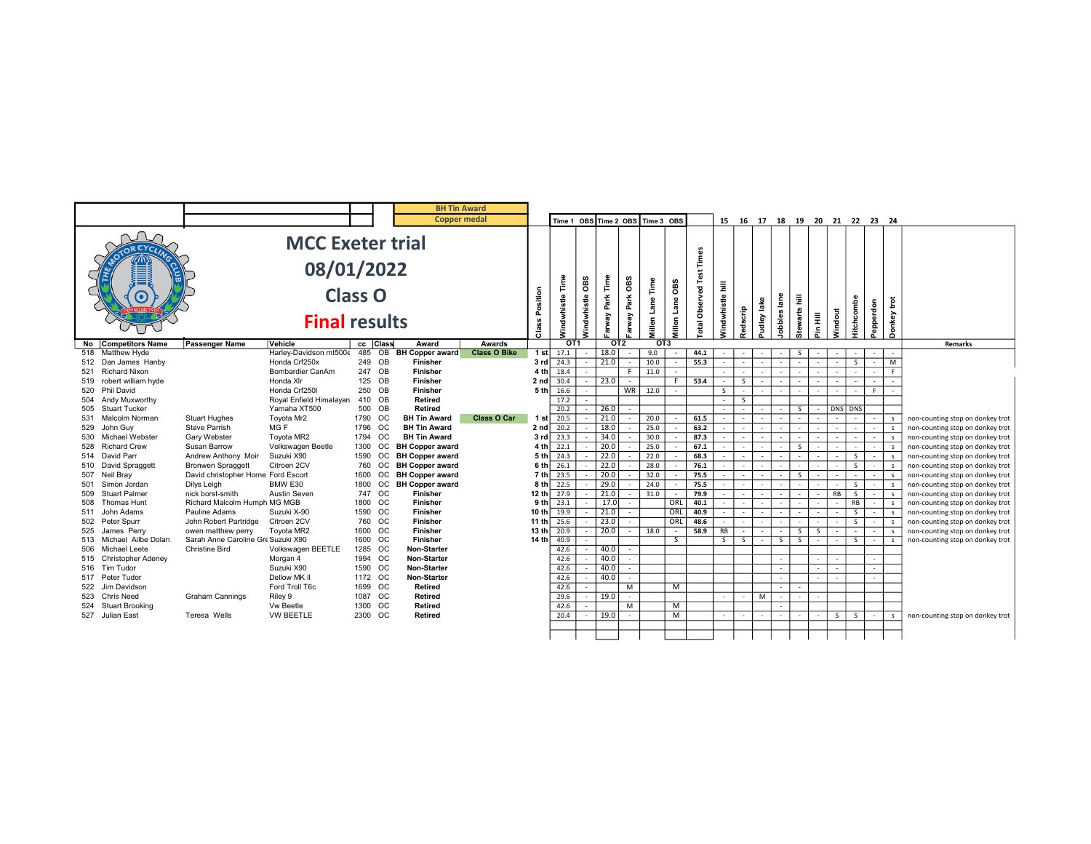|            |                                         |                                     |                                |         |                  |                                       | <b>BH Tin Award</b> |                          |                  |             |              |        |                                  |               |                            |                 |                          |                          |                                                    |                |                |            |                          |                         |                                                                      |
|------------|-----------------------------------------|-------------------------------------|--------------------------------|---------|------------------|---------------------------------------|---------------------|--------------------------|------------------|-------------|--------------|--------|----------------------------------|---------------|----------------------------|-----------------|--------------------------|--------------------------|----------------------------------------------------|----------------|----------------|------------|--------------------------|-------------------------|----------------------------------------------------------------------|
|            |                                         |                                     |                                |         |                  |                                       | <b>Copper medal</b> |                          |                  |             |              |        | Time 1 OBS Time 2 OBS Time 3 OBS |               |                            |                 |                          |                          | 15  16  17  18  19  20  21  22  23  24             |                |                |            |                          |                         |                                                                      |
|            |                                         |                                     | <b>MCC Exeter trial</b>        |         |                  |                                       |                     |                          |                  |             |              |        |                                  |               |                            |                 |                          |                          |                                                    |                |                |            |                          |                         |                                                                      |
|            |                                         |                                     | 08/01/2022                     |         |                  |                                       |                     |                          |                  |             |              |        |                                  |               | Times                      |                 |                          |                          |                                                    |                |                |            |                          |                         |                                                                      |
|            |                                         |                                     |                                |         |                  |                                       |                     |                          |                  | OВS         | Time         | OBS    | $\overline{\phantom{a}}$         | OBS           |                            | Ē               |                          |                          |                                                    |                |                |            |                          |                         |                                                                      |
|            |                                         |                                     | <b>Class O</b>                 |         |                  |                                       |                     | Position                 |                  |             | Park         | Park   |                                  |               |                            |                 |                          |                          | Ē.                                                 |                |                |            |                          | $\overline{\mathrm{e}}$ |                                                                      |
|            |                                         |                                     |                                |         |                  |                                       |                     |                          |                  |             |              |        | Lane                             | Lane          |                            |                 |                          |                          |                                                    |                |                |            |                          |                         |                                                                      |
|            |                                         |                                     | <b>Final results</b>           |         |                  |                                       |                     | $C$ lass                 | Windwhistle Time | Vindwhistle | Farway       | Farway | <b>Millen</b>                    | <b>Millen</b> | <b>Total Observed Test</b> | Vindwhistle     | Redscrip                 | Pudley lake              | lobbles lane<br><b>Stewarts</b>                    | Pin Hill       | Windout        | Hitchcombe | Pepperdon                | Donkey                  |                                                                      |
|            | No Competitors Name                     | Passenger Name                      | Vehicle                        |         | cc Class         | Award                                 | Awards              |                          | OT <sub>1</sub>  |             | OT2          |        | OT <sub>3</sub>                  |               |                            |                 |                          |                          |                                                    |                |                |            |                          |                         | Remarks                                                              |
|            | 518 Matthew Hyde                        |                                     | Harley-Davidson mt5006         |         | 485 OB           | <b>BH Copper award</b>                | <b>Class O Bike</b> |                          | 1 st $17.1$      |             | 18.0         |        | 9.0                              |               | 44.1                       |                 |                          |                          | S.                                                 |                |                |            |                          |                         |                                                                      |
|            | 512 Dan James Hanby                     |                                     | Honda Crf250x                  |         | 249 OB           | <b>Finisher</b>                       |                     | 3 rd                     | 24.3             |             | 21.0         |        | 10.0                             |               | 55.3                       |                 |                          |                          |                                                    |                | $\sim$         | S.         |                          | M                       |                                                                      |
|            | 521 Richard Nixon                       |                                     | Bombardier CanAm               |         | 247 OB           | <b>Finisher</b>                       |                     | 4 <sup>th</sup>          | 18.4             |             |              | -F     | 11.0                             |               |                            |                 |                          |                          |                                                    |                |                |            |                          | F.                      |                                                                      |
|            | 519 robert william hyde                 |                                     | Honda XIr                      |         | 125 OB           | <b>Finisher</b>                       |                     | 2 nd                     | 30.4             |             | 23.0         |        |                                  | F.            | 53.4                       |                 | S.                       |                          |                                                    |                |                |            |                          |                         |                                                                      |
|            | 520 Phil David                          |                                     | Honda Crf250I                  |         | 250 OB           | <b>Finisher</b>                       |                     | 5 <sub>th</sub>          | 16.6             |             |              |        | WR 12.0                          |               |                            | S               | $\overline{\phantom{a}}$ |                          |                                                    |                | $\sim$         |            |                          |                         |                                                                      |
|            | 504 Andy Muxworthy                      |                                     | Royal Enfield Himalayan        |         | 410 OB<br>500 OB | <b>Retired</b>                        |                     |                          | 17.2             |             |              |        |                                  |               |                            | $\sim$ 10 $\pm$ | S.                       |                          |                                                    |                |                |            |                          |                         |                                                                      |
|            | 505 Stuart Tucker<br>531 Malcolm Norman | <b>Stuart Hughes</b>                | Yamaha XT500<br>Tovota Mr2     |         | 1790 OC          | <b>Retired</b><br><b>BH Tin Award</b> | Class O Car         |                          | 20.2<br>$-20.5$  |             | 26.0<br>21.0 |        | 20.0                             |               |                            | $\sim$ 10 $\pm$ | $\sim$                   |                          | S.                                                 |                | $\sim$         | DNS DNS    |                          |                         |                                                                      |
|            | John Guv                                | <b>Steve Parrish</b>                | MG F                           | 1796 OC |                  | <b>BH Tin Award</b>                   |                     | 1 sti<br>2 <sub>nd</sub> | 20.2             |             | 18.0         |        | 25.0                             |               | 61.5<br>63.2               |                 |                          |                          | $\sim$                                             |                |                |            |                          |                         | non-counting stop on donkey trot                                     |
| 529        | 530 Michael Webster                     | Gary Webster                        | Toyota MR2                     | 1794 OC |                  | <b>BH Tin Award</b>                   |                     | 3rd                      | 23.3             |             | 34.0         |        | 30.0                             |               | 87.3                       |                 |                          |                          |                                                    |                |                |            |                          | $\mathbf{s}$            | non-counting stop on donkey trot<br>non-counting stop on donkey trot |
|            | 528 Richard Crew                        | Susan Barrow                        | Volkswagen Beetle              | 1300 OC |                  | <b>BH Copper award</b>                |                     | 4 th                     | 22.1             |             | 20.0         |        | 25.0                             |               | 67.1                       |                 |                          |                          | -S.                                                |                | $\sim$         |            | $\overline{\phantom{a}}$ | $\mathbf{S}$            | non-counting stop on donkey trot                                     |
|            | 514 David Parr                          | Andrew Anthony Moir                 | Suzuki X90                     |         | 1590 OC          | <b>BH Copper award</b>                |                     | 5 th                     | 24.3             |             | 22.0         |        | 22.0                             |               | 68.3                       |                 | $\overline{\phantom{a}}$ |                          | $\sim$                                             | $\sim$         | $\sim$         | S          | $\sim$                   | $\mathsf{s}$            | non-counting stop on donkey trot                                     |
|            | 510 David Spraggett                     | <b>Bronwen Spraggett</b>            | Citroen 2CV                    |         | 760 OC           | <b>BH Copper award</b>                |                     | 6 th                     | 26.1             |             | 22.0         |        | 28.0                             |               | 76.1                       |                 | $\sim$                   |                          | $\sim$                                             |                |                | S.         |                          | $\sim$                  | non-counting stop on donkey trot                                     |
|            | 507 Neil Bray                           | David christopher Horne Ford Escort |                                | 1600    | <b>OC</b>        | <b>BH Copper award</b>                |                     | 7 th                     | 23.5             |             | 20.0         |        | 32.0                             |               | 75.5                       |                 |                          |                          | S.                                                 |                |                |            |                          |                         | non-counting stop on donkey trot                                     |
|            | 501 Simon Jordan                        | Dilys Leigh                         | BMW E30                        |         | 1800 OC          | <b>BH Copper award</b>                |                     | 8 <sub>th</sub>          | 22.5             |             | 29.0         |        | 24.0                             |               | 75.5                       |                 |                          |                          |                                                    |                | $\sim$         | S.         |                          | $\mathbf{s}$            | non-counting stop on donkey trot                                     |
| 509        | <b>Stuart Palmer</b>                    | nick borst-smith                    | <b>Austin Seven</b>            |         | 747 OC           | <b>Finisher</b>                       |                     | 12 th                    | 27.9             |             | 21.0         |        | 31.0                             | $\sim$        | 79.9                       | $\sim$          | $\overline{\phantom{a}}$ | $\overline{\phantom{a}}$ | $\sim$<br>$\sim$                                   | $\overline{a}$ | RB             | S          | $\sim$                   | s                       | non-counting stop on donkey trot                                     |
| 508        | <b>Thomas Hunt</b>                      | Richard Malcolm Humph MG MGB        |                                | 1800 OC |                  | <b>Finisher</b>                       |                     | 9 <sub>th</sub>          | 23.1             |             | 17.0         |        |                                  | ORL           | 40.1                       |                 |                          |                          |                                                    |                |                | RB         |                          | $\mathbf{s}$            | non-counting stop on donkey trot                                     |
|            | 511 John Adams                          | Pauline Adams                       | Suzuki X-90                    | 1590 OC |                  | <b>Finisher</b>                       |                     | 10 th                    | 19.9             |             | 21.0         |        |                                  | ORL           | 40.9                       |                 |                          |                          |                                                    |                |                | S.         |                          |                         | non-counting stop on donkey trot                                     |
|            | 502 Peter Spurr                         | John Robert Partridge               | Citroen 2CV                    |         | 760 OC           | <b>Finisher</b>                       |                     | 11 $th$                  | 25.6             |             | 23.0         |        |                                  | ORL           | 48.6                       |                 |                          |                          |                                                    |                |                | S.         |                          | - s                     | non-counting stop on donkey trot                                     |
|            | 525 James Perry                         | owen matthew perry                  | Toyota MR2                     | 1600 OC |                  | <b>Finisher</b>                       |                     | 13 th                    | 20.9             |             | 20.0         | $\sim$ | 18.0                             | $\sim$        | 58.9                       | RB              | $\overline{\phantom{a}}$ |                          | S<br>$\sim$                                        | S              | $\sim$         | $\sim$     | $\sim$                   | s.                      | non-counting stop on donkey trot                                     |
|            | 513 Michael Ailbe Dolan                 | Sarah Anne Caroline Gre Suzuki X90  |                                | 1600 OC |                  | <b>Finisher</b>                       |                     | 14 th                    | 40.9             |             |              |        |                                  | S.            |                            | S               | S.                       |                          | $\overline{\mathsf{s}}$<br>$\overline{\mathsf{s}}$ |                | $\sim$         | S.         |                          | <b>s</b>                | non-counting stop on donkey trot                                     |
|            | 506 Michael Leete                       | <b>Christine Bird</b>               | Volkswagen BEETLE              | 1285 OC |                  | <b>Non-Starter</b>                    |                     |                          | 42.6             |             | 40.0         |        |                                  |               |                            |                 |                          |                          |                                                    |                |                |            |                          |                         |                                                                      |
|            | 515 Christopher Adeney                  |                                     | Morgan 4                       | 1994 OC |                  | Non-Starter                           |                     |                          | 42.6             |             | 40.0         |        |                                  |               |                            |                 |                          |                          |                                                    |                | $\overline{a}$ |            |                          |                         |                                                                      |
|            | 516 Tim Tudor                           |                                     | Suzuki X90                     | 1590 OC |                  | Non-Starter                           |                     |                          | 42.6             |             | 40.0         |        |                                  |               |                            |                 |                          |                          |                                                    |                | $\sim$         |            |                          |                         |                                                                      |
|            | 517 Peter Tudor                         |                                     | Dellow MK II<br>Ford Troll T6c | 1172 OC | 1699 OC          | <b>Non-Starter</b><br><b>Retired</b>  |                     |                          | 42.6             |             | 40.0         |        |                                  |               |                            |                 |                          |                          | $\sim$                                             |                | $\sim$         |            |                          |                         |                                                                      |
| 522<br>523 | Jim Davidson<br>Chris Need              |                                     |                                | 1087 OC |                  | Retired                               |                     |                          | 42.6<br>29.6     |             | 19.0         | M      |                                  | м             |                            | $\sim$          | $\overline{\phantom{a}}$ | M                        | $\sim$<br>$\sim$<br>$\sim$                         |                |                |            |                          |                         |                                                                      |
|            | 524 Stuart Brooking                     | <b>Graham Cannings</b>              | Riley 9<br>Vw Beetle           | 1300 OC |                  | <b>Retired</b>                        |                     |                          | 42.6             |             |              | M      |                                  | м             |                            |                 |                          |                          |                                                    |                |                |            |                          |                         |                                                                      |
|            | 527 Julian East                         | Teresa Wells                        | <b>VW BEETLE</b>               | 2300 OC |                  | Retired                               |                     |                          | 20.4             |             | 19.0         |        |                                  | M             |                            | $\sim$          |                          |                          |                                                    |                | S              | S          |                          | s.                      | non-counting stop on donkey trot                                     |
|            |                                         |                                     |                                |         |                  |                                       |                     |                          |                  |             |              |        |                                  |               |                            |                 |                          |                          |                                                    |                |                |            |                          |                         |                                                                      |
|            |                                         |                                     |                                |         |                  |                                       |                     |                          |                  |             |              |        |                                  |               |                            |                 |                          |                          |                                                    |                |                |            |                          |                         |                                                                      |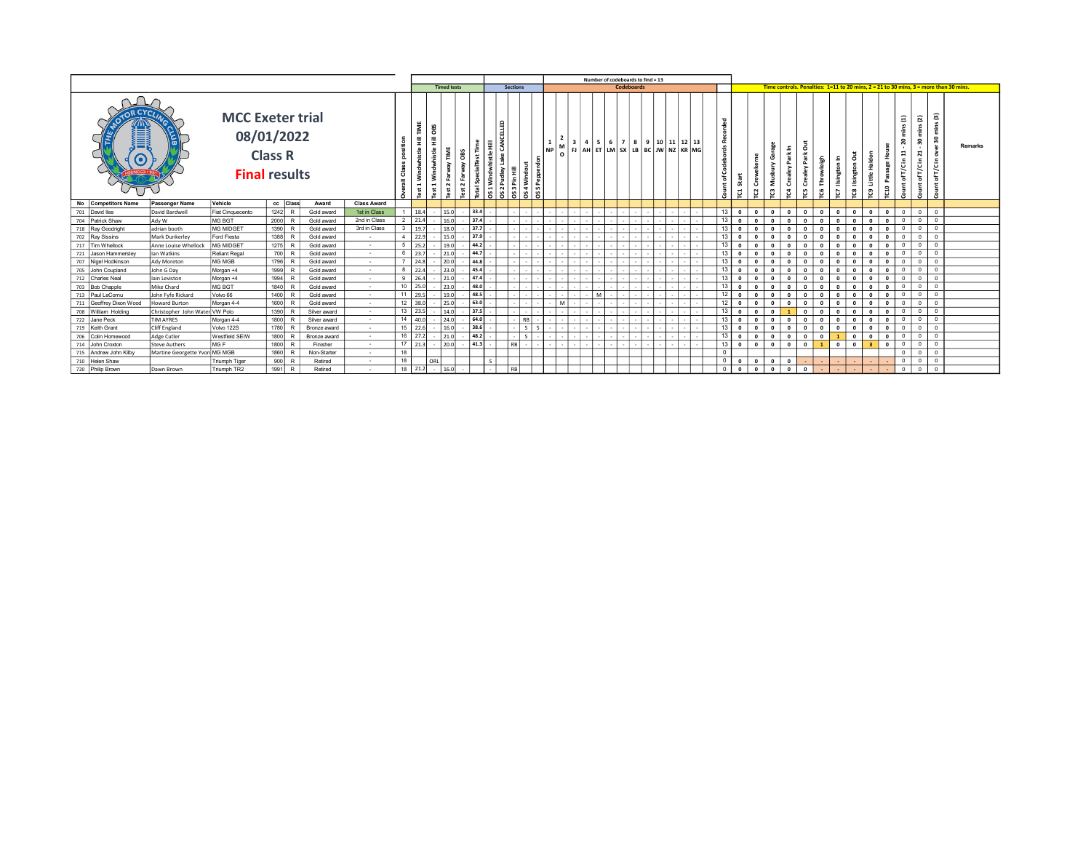|                                         |                                |                         |                                                      |                        |                    |                 |                                              |                                             |      |                                    |                                |         |      |                         |                                                                                                                                                                                                    | Number of codeboards to find = 13 |  |                                           |                 |                         |                         |                |                         |              |                                        |              |                   |                         |                                                                                                                 |                                               |                                                  |                                                                                            |
|-----------------------------------------|--------------------------------|-------------------------|------------------------------------------------------|------------------------|--------------------|-----------------|----------------------------------------------|---------------------------------------------|------|------------------------------------|--------------------------------|---------|------|-------------------------|----------------------------------------------------------------------------------------------------------------------------------------------------------------------------------------------------|-----------------------------------|--|-------------------------------------------|-----------------|-------------------------|-------------------------|----------------|-------------------------|--------------|----------------------------------------|--------------|-------------------|-------------------------|-----------------------------------------------------------------------------------------------------------------|-----------------------------------------------|--------------------------------------------------|--------------------------------------------------------------------------------------------|
|                                         |                                |                         |                                                      |                        |                    |                 |                                              | <b>Timed tests</b>                          |      |                                    | <b>Sections</b>                |         |      |                         |                                                                                                                                                                                                    | Codeboards                        |  |                                           |                 |                         |                         |                |                         |              |                                        |              |                   |                         |                                                                                                                 |                                               |                                                  | Time controls. Penalties: $1=11$ to 20 mins. $2 = 21$ to 30 mins. $3 =$ more than 30 mins. |
|                                         |                                | <b>MCC Exeter trial</b> | 08/01/2022<br><b>Class R</b><br><b>Final results</b> |                        |                    | ዹ               | TIME<br>hi st<br>$\mathbf{r}$<br><b>Test</b> | S<br>$\circ$<br>Ŧ<br>whistle<br>з<br>$\sim$ | ੱਖ਼  | e<br>큺<br>CAN<br>Lake<br>۵y<br>130 | $\frac{1}{\frac{1}{\sqrt{3}}}$ | Windout | NP I | $\overline{\mathbf{3}}$ | $\begin{bmatrix} 0 \\ 0 \end{bmatrix}$ FJ $\begin{bmatrix} 4M & 5K \\ 0 \end{bmatrix}$ LM $\begin{bmatrix} 5K & 5K \\ 0 \end{bmatrix}$ LM $\begin{bmatrix} 1 & 1 & 1K \\ 0 & 1 & 1K \end{bmatrix}$ |                                   |  | 4   5   6   7   8   9   10   11   12   13 |                 | J                       | ā                       | Ö<br>ຕ         | õ<br>⊻<br>3<br>ت<br>g   | უ<br>೮       | Ξ<br>ā                                 | 3<br>೮       | ã<br>ප            | Ĩ<br>՟<br><b>CIO</b>    | Ξ<br>$\bullet$<br>ដ<br>$\mathbf{E}% _{t}\left  \mathbf{1}\right\rangle =\mathbf{1}_{\mathbf{E}_{t}}$<br>īκ<br>৳ | $\overline{a}$<br>$\bullet$<br>ដ<br>٢c        | G)<br>r<br>Έ<br>요<br>š<br>£.<br>ŗε<br>ъ<br>Count | <b>Remarks</b>                                                                             |
| No Competitors Name                     | Passenger Name                 | Vehicle                 | cc Class                                             | Award                  | <b>Class Award</b> |                 |                                              |                                             |      |                                    |                                |         |      |                         |                                                                                                                                                                                                    |                                   |  |                                           |                 |                         |                         |                |                         |              |                                        |              |                   |                         |                                                                                                                 |                                               |                                                  |                                                                                            |
| 701 David lles                          | David Bardwell                 | Fiat Cinquecento        | $1242$ R                                             | Gold award             | 1st in Class       |                 | $1 \t 18.4$                                  | 15.0                                        | 33.4 |                                    |                                |         |      |                         |                                                                                                                                                                                                    |                                   |  |                                           |                 | $13$ 0                  | $\overline{\mathbf{0}}$ | $^{\circ}$     | $\circ$ 1               | $\mathbf{0}$ | $\overline{\phantom{a}}$<br>$^{\circ}$ |              | 0 0 0 0           |                         | $\overline{0}$                                                                                                  |                                               | $0$ 0                                            |                                                                                            |
| 704 Patrick Shaw                        | Ady W                          | MG BGT                  | $2000$ R                                             | Gold award             | 2nd in Class       |                 | $2 \quad 21.4$                               | 16.0                                        | 37.4 |                                    |                                |         |      |                         |                                                                                                                                                                                                    |                                   |  |                                           | 13 <sup>1</sup> | $\overline{\mathbf{0}}$ | $\sqrt{2}$              |                | $\Omega$                | $\sqrt{2}$   | $\Omega$                               | $\Omega$     |                   | $\mathbf{0}$            | $\Omega$                                                                                                        |                                               | $0$ $0$                                          |                                                                                            |
| 718 Ray Goodright                       | adrian booth                   | <b>MG MIDGET</b>        | 1390 R                                               | Gold award             | 3rd in Class       |                 | $3 - 19.7$                                   | 18.0                                        | 37.7 |                                    |                                |         |      |                         |                                                                                                                                                                                                    |                                   |  |                                           | 13 <sub>1</sub> | $\overline{0}$          | $\Omega$                |                | $\Omega$                | $\Omega$     | $\mathbf{0}$                           | $\mathbf{0}$ | $^{\circ}$        | $\mathbf{0}$            | $\overline{0}$                                                                                                  |                                               | $0$ 0                                            |                                                                                            |
| 702 Ray Sissins                         | Mark Dunkerley                 | Ford Fiesta             | $1388$ R                                             | Gold award             | $\sim$             |                 | 4 22.9                                       | 15.0                                        | 37.9 |                                    |                                |         |      |                         |                                                                                                                                                                                                    |                                   |  |                                           | 13 <sup>1</sup> | $\mathbf{0}$            | $\Omega$                |                | $\mathbf{a}$            | $\Omega$     | $\Omega$                               | $\mathbf{0}$ |                   | $\Omega$                | $^{\circ}$                                                                                                      | $0$ 0                                         |                                                  |                                                                                            |
| 717 Tim Whellock                        | Anne Louise Whellock           | <b>MG MIDGET</b>        | $1275$ R                                             | Gold award             | $\sim$             |                 | $5 - 25.2$                                   | 19.0                                        | 44.2 |                                    |                                |         |      |                         |                                                                                                                                                                                                    |                                   |  |                                           | 13 <sup>1</sup> | $\mathbf{0}$            | $\Omega$                |                | $\mathbf{r}$            | $\Omega$     | $\Omega$                               | $\mathbf{0}$ |                   | $\Omega$                | $\overline{0}$                                                                                                  | $0$ 0                                         |                                                  |                                                                                            |
| Jason Hammersley<br>721                 | Ian Watkins                    | <b>Reliant Regal</b>    | 700 R                                                | Gold award             | $\sim$             |                 | 6 23.7                                       | 21.0                                        | 44.7 |                                    |                                |         |      |                         |                                                                                                                                                                                                    |                                   |  |                                           | 13 <sup>1</sup> | $\overline{\mathbf{0}}$ | $\Omega$                |                | $\mathbf{a}$            | $\Omega$     | $\Omega$                               | $\mathbf{0}$ | $\Omega$          | $\Omega$                | $\Omega$                                                                                                        | $^{\circ}$                                    | $\overline{0}$                                   |                                                                                            |
| 707 Nigel Hodkinson                     | Ady Moreton                    | MG MGB                  | 1796 R                                               | Gold award             | $\sim$             |                 | $7$ 24.8                                     | 20.0                                        | 44.8 |                                    |                                |         |      |                         |                                                                                                                                                                                                    |                                   |  |                                           | 13 <sup>1</sup> | $\cdot$ 0               | $\Omega$                |                | $\Omega$                | $\Omega$     | $\overline{\mathbf{0}}$                | $\mathbf{0}$ |                   | $\mathbf{0}$            | $^{\circ}$                                                                                                      | $0$ 0                                         |                                                  |                                                                                            |
| John Coupland<br>705                    | John G Day                     | Morgan +4               | 1999                                                 | Gold award             | $\sim$             |                 | 8 22.4                                       | 23.0                                        | 45.4 |                                    |                                |         |      |                         |                                                                                                                                                                                                    |                                   |  |                                           | 13 <sup>1</sup> | $\overline{0}$          | $\Omega$                |                | $\Omega$                | $\sqrt{2}$   | $\mathbf{0}$                           | $\Omega$     | $^{\circ}$        | $\mathbf{0}$            | $\Omega$                                                                                                        | $\Omega$                                      | $\overline{0}$                                   |                                                                                            |
| 712 Charles Neal                        | lain Leviston                  | Morgan +4               | 1994 R                                               | Gold award             | $\sim$             |                 | 9 26.4                                       | 21.0                                        | 47.4 |                                    |                                |         |      |                         |                                                                                                                                                                                                    |                                   |  |                                           | 13 <sup>1</sup> | $\overline{0}$          | $\Omega$                |                | $\mathbf{a}$            | $\sqrt{2}$   | $\Omega$                               | $\Omega$     |                   | $\mathbf{0}$            | $\circ$                                                                                                         | $0$ 0                                         |                                                  |                                                                                            |
| 703 Bob Chapple                         | Mike Chard                     | MG BGT                  | 1840 R                                               | Gold award             | $\sim$             |                 | $10$ 25.0                                    | 23.0                                        | 48.0 |                                    |                                |         |      |                         |                                                                                                                                                                                                    |                                   |  |                                           |                 | $\mathbf{0}$            | $\Omega$                |                | $\Omega$                | $\sqrt{2}$   | $\Omega$                               | $\mathbf{0}$ | $\Omega$          | $\Omega$                | $\Omega$                                                                                                        | $^{\circ}$                                    | $^{\circ}$                                       |                                                                                            |
| 713 Paul LeCornu                        | John Fyfe Rickard              | Volvo 66                | $1400$ R                                             | Gold award             | $\sim$             |                 | 11 29.5                                      | 19.0                                        | 48.5 |                                    |                                |         |      |                         |                                                                                                                                                                                                    |                                   |  |                                           | 12 <sup>1</sup> | $\mathbf{0}$            | $\sqrt{2}$              |                | $\mathbf{r}$            | $\sqrt{2}$   | $\mathbf{0}$                           | $\Omega$     |                   | $\mathbf{0}$            | $\Omega$                                                                                                        | $\Omega$                                      | $^{\circ}$                                       |                                                                                            |
| Geoffrey Dixon Wood<br>711              | Howard Burton                  | Morgan 4-4              | $1600$ R                                             | Gold award             | $\sim$             |                 | $12 \mid 38.0$                               | 25.0                                        | 63.0 |                                    |                                |         |      | M                       |                                                                                                                                                                                                    |                                   |  |                                           |                 | $\Omega$                | $\sqrt{2}$              |                |                         | $\sqrt{2}$   | $\Omega$                               | $\Omega$     | $\Omega$          | $\Omega$                | $\Omega$                                                                                                        |                                               | $0$ 0                                            |                                                                                            |
| 708 William Holding                     | Christopher John Water VW Polo |                         | 1390 R                                               | Silver award           | $\sim$             |                 | 13 23.5                                      | 14.0                                        | 37.5 |                                    |                                |         |      |                         |                                                                                                                                                                                                    |                                   |  |                                           |                 | $\Omega$                |                         |                |                         | $\sqrt{2}$   | $\Omega$                               | $\mathbf{0}$ | $\Omega$          | $\Omega$                | $\Omega$                                                                                                        | $\circ$ 1                                     | $\overline{0}$                                   |                                                                                            |
| 722 Jane Peck                           | TIM AYRES                      | Morgan 4-4              | 1800 R                                               | Silver award           | $\sim$             |                 | 14   40.0                                    | 24.0                                        | 64.0 |                                    | RB                             |         |      |                         |                                                                                                                                                                                                    |                                   |  |                                           |                 | $\mathbf{0}$            | $\sqrt{2}$              |                | $\sqrt{2}$              |              | $\Omega$                               | $\Omega$     | $\Omega$          | $\Omega$                | $\Omega$                                                                                                        | $^{\circ}$                                    | $\mathbf{0}$                                     |                                                                                            |
| 719 Keith Grant                         |                                |                         |                                                      |                        |                    |                 | $15$ 22.6                                    | 16.0                                        | 38.6 |                                    | $\mathsf{S}$                   |         |      |                         |                                                                                                                                                                                                    |                                   |  |                                           |                 | $\mathbf{0}$            | $\Omega$                |                | $\mathbf{0}$            | $\Omega$     | $\overline{0}$                         | $\Omega$     | $\Omega$          | $\overline{\mathbf{0}}$ | $\Omega$                                                                                                        |                                               | $0$ 0                                            |                                                                                            |
| 706 Colin Homewood                      |                                |                         |                                                      |                        | $\sim$             |                 |                                              |                                             |      |                                    |                                |         |      |                         |                                                                                                                                                                                                    |                                   |  |                                           |                 |                         |                         |                |                         |              |                                        |              |                   |                         |                                                                                                                 |                                               |                                                  |                                                                                            |
| 714 John Croxton                        | Cliff England                  | Volvo 122S              | 1780 R                                               | Bronze award           | $\sim$             |                 |                                              |                                             |      |                                    |                                |         |      |                         |                                                                                                                                                                                                    |                                   |  |                                           | 13 <sup>1</sup> |                         |                         |                |                         | $\Omega$     |                                        | 1            |                   |                         | $\overline{0}$                                                                                                  | $0$ 0                                         |                                                  |                                                                                            |
|                                         | Adge Cutler                    | Westfield SEIW          | 1800 R                                               | Bronze award           | $\sim$             |                 | $16$ 27.2                                    | 21.0                                        | 48.2 |                                    | $\mathsf{S}$                   |         |      |                         |                                                                                                                                                                                                    |                                   |  |                                           |                 | $\circ$                 | $\overline{\mathbf{0}}$ | 0 <sup>1</sup> | $\overline{0}$          |              | $\overline{1}$                         | $\mathbf{0}$ | 0                 |                         | $\overline{0}$                                                                                                  |                                               | $0$ 0                                            |                                                                                            |
|                                         | Steve Authers                  | MG F                    | 1800 R                                               | Finisher               | $\sim$             | 18 <sup>1</sup> | 17 21.3                                      | 20.0                                        | 41.3 |                                    | $RB$ .                         |         |      |                         |                                                                                                                                                                                                    |                                   |  |                                           |                 | $13$ 0                  | $\overline{\mathbf{0}}$ | $\circ$ 1      | $\circ$                 | $\mathbf{0}$ | o                                      |              | $0 \mid 3 \mid 0$ |                         | $\overline{0}$                                                                                                  | $\begin{array}{c} \circ \\ \circ \end{array}$ |                                                  |                                                                                            |
| 715 Andrew John Kilby<br>710 Helen Shaw | Martine Georgette Yvon MG MGB  | Triumph Tiger           | 1860 R<br>$900$ R                                    | Non-Starter<br>Retired |                    | 18              |                                              | ORL                                         |      |                                    |                                |         |      |                         |                                                                                                                                                                                                    |                                   |  |                                           |                 | $\overline{\mathbf{0}}$ | $\overline{\mathbf{0}}$ | $\circ$        | $\overline{\mathbf{0}}$ |              |                                        |              |                   |                         | $\mathbf{0}$                                                                                                    |                                               | $0$ $0$                                          |                                                                                            |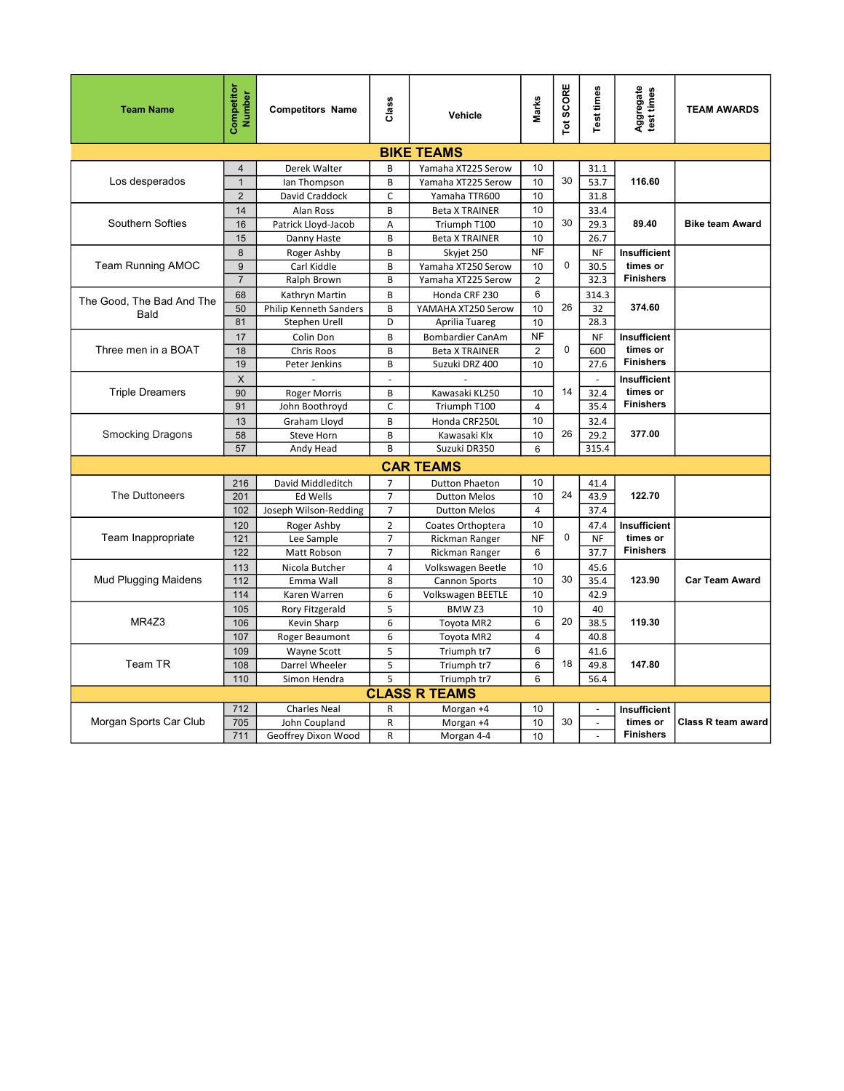| <b>Team Name</b>            | Competitor<br><b>Number</b> | <b>Competitors Name</b>   | Class          | Vehicle                            | Marks          | Tot SCORE   | Test times               | Aggregate<br>test times      | <b>TEAM AWARDS</b>     |
|-----------------------------|-----------------------------|---------------------------|----------------|------------------------------------|----------------|-------------|--------------------------|------------------------------|------------------------|
|                             |                             |                           |                | <b>BIKE TEAMS</b>                  |                |             |                          |                              |                        |
|                             | $\overline{4}$              | Derek Walter              | B              | Yamaha XT225 Serow                 | 10             |             | 31.1                     |                              |                        |
| Los desperados              | $\overline{1}$              | Ian Thompson              | B              | Yamaha XT225 Serow                 | 10             | 30          | 53.7                     | 116.60                       |                        |
|                             | $\overline{2}$              | David Craddock            | $\mathsf{C}$   | Yamaha TTR600                      | 10             |             | 31.8                     |                              |                        |
|                             | 14                          | Alan Ross                 | B              | <b>Beta X TRAINER</b>              | 10             |             | 33.4                     |                              |                        |
| Southern Softies            | 16                          | Patrick Lloyd-Jacob       | Α              | Triumph T100                       | 10             | 30          | 29.3                     | 89.40                        | <b>Bike team Award</b> |
|                             | 15                          | Danny Haste               | B              | <b>Beta X TRAINER</b>              | 10             |             | 26.7                     |                              |                        |
|                             | $\boldsymbol{8}$            | Roger Ashby               | B              | Skyjet 250                         | <b>NF</b>      |             | <b>NF</b>                | Insufficient                 |                        |
| <b>Team Running AMOC</b>    | 9                           | Carl Kiddle               | B              | Yamaha XT250 Serow                 | 10             | $\mathsf 0$ | 30.5                     | times or                     |                        |
|                             | $\overline{7}$              | Ralph Brown               | B              | Yamaha XT225 Serow                 | $\overline{2}$ |             | 32.3                     | <b>Finishers</b>             |                        |
| The Good. The Bad And The   | 68                          | Kathryn Martin            | B              | Honda CRF 230                      | 6              |             | 314.3                    |                              |                        |
| Bald                        | 50                          | Philip Kenneth Sanders    | B              | YAMAHA XT250 Serow                 | 10             | 26          | 32                       | 374.60                       |                        |
|                             | 81                          | Stephen Urell             | D              | Aprilia Tuareg                     | 10             |             | 28.3                     |                              |                        |
|                             | 17                          | Colin Don                 | B              | <b>Bombardier CanAm</b>            | <b>NF</b>      |             | NF                       | Insufficient                 |                        |
| Three men in a BOAT         | 18                          | Chris Roos                | B              | <b>Beta X TRAINER</b>              | $\overline{2}$ | $\pmb{0}$   | 600                      | times or                     |                        |
|                             | 19                          | Peter Jenkins             | B              | Suzuki DRZ 400                     | 10             |             | 27.6                     | <b>Finishers</b>             |                        |
|                             | $\times$                    |                           | $\overline{a}$ |                                    |                |             | $\sim$                   | Insufficient                 |                        |
| <b>Triple Dreamers</b>      | 90                          | <b>Roger Morris</b>       | B              | Kawasaki KL250                     | 10             | 14          | 32.4                     | times or<br><b>Finishers</b> |                        |
|                             | 91                          | John Boothroyd            | $\mathsf{C}$   | Triumph T100                       | 4              |             | 35.4                     |                              |                        |
| <b>Smocking Dragons</b>     | 13<br>58                    | Graham Lloyd              | B<br>B         | Honda CRF250L                      | 10             | 26          | 32.4<br>29.2             | 377.00                       |                        |
|                             | 57                          | Steve Horn<br>Andy Head   | B              | Kawasaki Klx<br>Suzuki DR350       | 10<br>6        |             | 315.4                    |                              |                        |
|                             |                             |                           |                |                                    |                |             |                          |                              |                        |
|                             |                             |                           |                | <b>CAR TEAMS</b>                   |                |             |                          |                              |                        |
|                             | 216                         | David Middleditch         | $\overline{7}$ | <b>Dutton Phaeton</b>              | 10             |             | 41.4                     |                              |                        |
| The Duttoneers              | 201                         | <b>Ed Wells</b>           | $\overline{7}$ | <b>Dutton Melos</b>                | 10             | 24          | 43.9                     | 122.70                       |                        |
|                             | 102                         | Joseph Wilson-Redding     | $\overline{7}$ | <b>Dutton Melos</b>                | $\overline{4}$ |             | 37.4                     |                              |                        |
|                             | 120                         | Roger Ashby               | $\overline{2}$ | Coates Orthoptera                  | 10             |             | 47.4                     | Insufficient                 |                        |
| Team Inappropriate          | 121                         | Lee Sample                | $\overline{7}$ | Rickman Ranger                     | <b>NF</b>      | $\mathbf 0$ | <b>NF</b>                | times or<br><b>Finishers</b> |                        |
|                             | 122                         | Matt Robson               | $\overline{7}$ | Rickman Ranger                     | 6              |             | 37.7                     |                              |                        |
| <b>Mud Plugging Maidens</b> | 113                         | Nicola Butcher            | $\overline{4}$ | Volkswagen Beetle                  | 10             | 30          | 45.6                     | 123.90                       | <b>Car Team Award</b>  |
|                             | 112<br>114                  | Emma Wall<br>Karen Warren | 8<br>6         | Cannon Sports<br>Volkswagen BEETLE | 10<br>10       |             | 35.4<br>42.9             |                              |                        |
|                             | 105                         | Rory Fitzgerald           | 5              | BMW <sub>Z3</sub>                  | 10             |             | 40                       |                              |                        |
| MR4Z3                       | 106                         | Kevin Sharp               | 6              | Toyota MR2                         | 6              | 20          | 38.5                     | 119.30                       |                        |
|                             | 107                         | Roger Beaumont            | 6              | Toyota MR2                         | $\overline{4}$ |             | 40.8                     |                              |                        |
|                             | 109                         | Wayne Scott               | $\sf 5$        | Triumph tr7                        | 6              |             | 41.6                     |                              |                        |
| Team TR                     | 108                         | Darrel Wheeler            | 5              | Triumph tr7                        | 6              | 18          | 49.8                     | 147.80                       |                        |
|                             | 110                         | Simon Hendra              | 5              | Triumph tr7                        | 6              |             | 56.4                     |                              |                        |
|                             |                             |                           |                | <b>CLASS R TEAMS</b>               |                |             |                          |                              |                        |
|                             | 712                         | <b>Charles Neal</b>       | $\mathsf{R}$   | Morgan +4                          | 10             |             | $\sim$                   | Insufficient                 |                        |
| Morgan Sports Car Club      | 705                         | John Coupland             | R              | Morgan +4                          | 10             | 30          | $\overline{\phantom{a}}$ | times or                     | Class R team award     |
|                             | 711                         | Geoffrey Dixon Wood       | R              | Morgan 4-4                         | 10             |             | ÷.                       | <b>Finishers</b>             |                        |